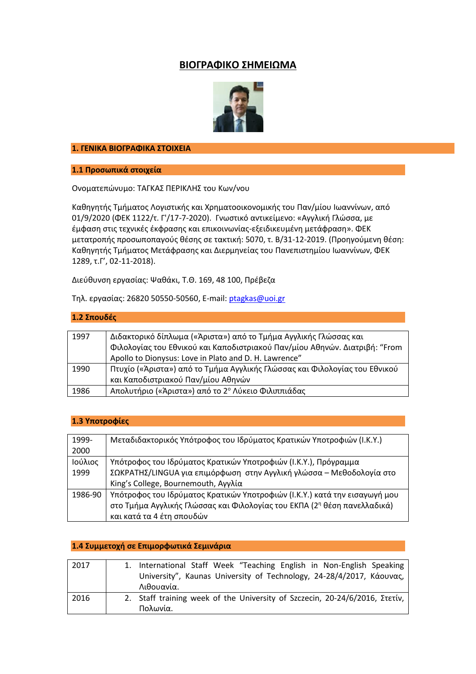## **ΒΙΟΓΡΑΦΙΚΟ ΣΗΜΕΙΩΜΑ**



#### **1. ΓΕΝΙΚΑ ΒΙΟΓΡΑΦΙΚΑ ΣΤΟΙΧΕΙΑ**

**1.1 Προσωπικά στοιχεία**

Ονοματεπώνυμο: ΤΑΓΚΑΣ ΠΕΡΙΚΛΗΣ του Κων/νου

Καθηγητής Τμήματος Λογιστικής και Χρηματοοικονομικής του Παν/μίου Ιωαννίνων, από 01/9/2020 (ΦΕΚ 1122/τ. Γ'/17-7-2020). Γνωστικό αντικείμενο: «Αγγλική Γλώσσα, με έμφαση στις τεχνικές έκφρασης και επικοινωνίας-εξειδικευμένη μετάφραση». ΦΕΚ μετατροπής προσωποπαγούς θέσης σε τακτική: 5070, τ. Β/31-12-2019. (Προηγούμενη θέση: Καθηγητής Τμήματος Μετάφρασης και Διερμηνείας του Πανεπιστημίου Ιωαννίνων, ΦΕΚ 1289, τ.Γ', 02-11-2018).

Διεύθυνση εργασίας: Ψαθάκι, Τ.Θ. 169, 48 100, Πρέβεζα

Τηλ. εργασίας: 26820 50550-50560, E-mail: [ptagkas@uoi.gr](mailto:ptagkas@uoi.gr)

#### **1.2 Σπουδές**

| 1997 | Διδακτορικό δίπλωμα («Άριστα») από το Τμήμα Αγγλικής Γλώσσας και           |
|------|----------------------------------------------------------------------------|
|      | Φιλολογίας του Εθνικού και Καποδιστριακού Παν/μίου Αθηνών. Διατριβή: "From |
|      | Apollo to Dionysus: Love in Plato and D. H. Lawrence"                      |
| 1990 | Πτυχίο («Άριστα») από το Τμήμα Αγγλικής Γλώσσας και Φιλολογίας του Εθνικού |
|      | και Καποδιστριακού Παν/μίου Αθηνών                                         |
| 1986 | Απολυτήριο («Άριστα») από το 2° Λύκειο Φιλιππιάδας                         |

| 1.3 Υποτροφίες |  |  |  |
|----------------|--|--|--|
|----------------|--|--|--|

| 1999-   | Μεταδιδακτορικός Υπότροφος του Ιδρύματος Κρατικών Υποτροφιών (Ι.Κ.Υ.)      |
|---------|----------------------------------------------------------------------------|
| 2000    |                                                                            |
| Ιούλιος | Υπότροφος του Ιδρύματος Κρατικών Υποτροφιών (Ι.Κ.Υ.), Πρόγραμμα            |
| 1999    | ΣΩΚΡΑΤΗΣ/LINGUA για επιμόρφωση στην Αγγλική γλώσσα – Μεθοδολογία στο       |
|         | King's College, Bournemouth, Αγγλία                                        |
| 1986-90 | Υπότροφος του Ιδρύματος Κρατικών Υποτροφιών (Ι.Κ.Υ.) κατά την εισαγωγή μου |
|         | στο Τμήμα Αγγλικής Γλώσσας και Φιλολογίας του ΕΚΠΑ (2η θέση πανελλαδικά)   |
|         | και κατά τα 4 έτη σπουδών                                                  |

#### **1.4 Συμμετοχή σε Επιμορφωτικά Σεμινάρια**

| 2017 | 1. International Staff Week "Teaching English in Non-English Speaking       |
|------|-----------------------------------------------------------------------------|
|      | University", Kaunas University of Technology, 24-28/4/2017, Κάουνας,        |
|      | Λιθουανία.                                                                  |
| 2016 | 2. Staff training week of the University of Szczecin, 20-24/6/2016, Στετίν, |
|      | Πολωνία.                                                                    |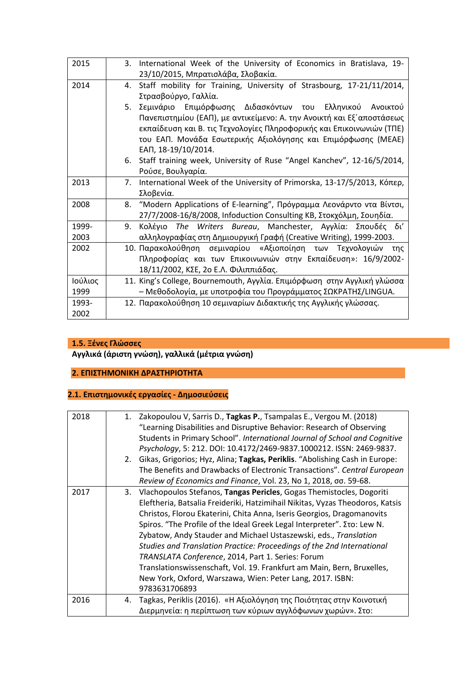| 2015    | 3. International Week of the University of Economics in Bratislava, 19-    |
|---------|----------------------------------------------------------------------------|
|         | 23/10/2015, Μπρατισλάβα, Σλοβακία.                                         |
| 2014    | 4. Staff mobility for Training, University of Strasbourg, 17-21/11/2014,   |
|         | Στρασβούργο, Γαλλία.                                                       |
|         | Σεμινάριο Επιμόρφωσης Διδασκόντων του Ελληνικού Ανοικτού<br>5.             |
|         | Πανεπιστημίου (ΕΑΠ), με αντικείμενο: Α. την Ανοικτή και Εξ' αποστάσεως     |
|         | εκπαίδευση και Β. τις Τεχνολογίες Πληροφορικής και Επικοινωνιών (ΤΠΕ)      |
|         | του ΕΑΠ. Μονάδα Εσωτερικής Αξιολόγησης και Επιμόρφωσης (ΜΕΑΕ)              |
|         | ЕАП, 18-19/10/2014.                                                        |
|         | 6. Staff training week, University of Ruse "Angel Kanchev", 12-16/5/2014,  |
|         | Ρούσε, Βουλγαρία.                                                          |
| 2013    | 7. International Week of the University of Primorska, 13-17/5/2013, Κόπερ, |
|         | Σλοβενία.                                                                  |
| 2008    | 8. "Modern Applications of E-learning", Πρόγραμμα Λεονάρντο ντα Βίντσι,    |
|         | 27/7/2008-16/8/2008, Infoduction Consulting KB, Στοκχόλμη, Σουηδία.        |
| 1999-   | The Writers Bureau, Manchester, Αγγλία: Σπουδές δι'<br>9.<br>Κολένιο       |
| 2003    | αλληλογραφίας στη Δημιουργική Γραφή (Creative Writing), 1999-2003.         |
| 2002    | 10. Παρακολούθηση σεμιναρίου «Αξιοποίηση των Τεχνολογιών της               |
|         | Πληροφορίας και των Επικοινωνιών στην Εκπαίδευση»: 16/9/2002-              |
|         | 18/11/2002, ΚΣΕ, 2ο Ε.Λ. Φιλιππιάδας.                                      |
| Ιούλιος | 11. King's College, Bournemouth, Αγγλία. Επιμόρφωση στην Αγγλική γλώσσα    |
| 1999    | – Μεθοδολογία, με υποτροφία του Προγράμματος ΣΩΚΡΑΤΗΣ/LINGUA.              |
| 1993-   | 12. Παρακολούθηση 10 σεμιναρίων Διδακτικής της Αγγλικής γλώσσας.           |
| 2002    |                                                                            |

## **1.5. Ξένες Γλώσσες**

**Αγγλικά (άριστη γνώση), γαλλικά (μέτρια γνώση)**

### **2. ΕΠΙΣΤΗΜΟΝΙΚΗ ΔΡΑΣΤΗΡΙΟΤΗΤΑ**

# **2.1. Επιστημονικές εργασίες - Δημοσιεύσεις**

| 2018 |    | 1. Zakopoulou V, Sarris D., Tagkas P., Tsampalas E., Vergou M. (2018)          |
|------|----|--------------------------------------------------------------------------------|
|      |    | "Learning Disabilities and Disruptive Behavior: Research of Observing          |
|      |    | Students in Primary School". International Journal of School and Cognitive     |
|      |    | Psychology, 5: 212. DOI: 10.4172/2469-9837.1000212. ISSN: 2469-9837.           |
|      |    | 2. Gikas, Grigorios; Hyz, Alina; Tagkas, Periklis. "Abolishing Cash in Europe: |
|      |    | The Benefits and Drawbacks of Electronic Transactions". Central European       |
|      |    | Review of Economics and Finance, Vol. 23, No 1, 2018, σσ. 59-68.               |
| 2017 |    | 3. Vlachopoulos Stefanos, Tangas Pericles, Gogas Themistocles, Dogoriti        |
|      |    | Eleftheria, Batsalia Freideriki, Hatzimihail Nikitas, Vyzas Theodoros, Katsis  |
|      |    | Christos, Florou Ekaterini, Chita Anna, Iseris Georgios, Dragomanovits         |
|      |    | Spiros. "The Profile of the Ideal Greek Legal Interpreter". Στο: Lew N.        |
|      |    | Zybatow, Andy Stauder and Michael Ustaszewski, eds., Translation               |
|      |    | Studies and Translation Practice: Proceedings of the 2nd International         |
|      |    | TRANSLATA Conference, 2014, Part 1. Series: Forum                              |
|      |    | Translationswissenschaft, Vol. 19. Frankfurt am Main, Bern, Bruxelles,         |
|      |    | New York, Oxford, Warszawa, Wien: Peter Lang, 2017. ISBN:                      |
|      |    | 9783631706893                                                                  |
| 2016 | 4. | Tagkas, Periklis (2016). «Η Αξιολόγηση της Ποιότητας στην Κοινοτική            |
|      |    | Διερμηνεία: η περίπτωση των κύριων αγγλόφωνων χωρών». Στο:                     |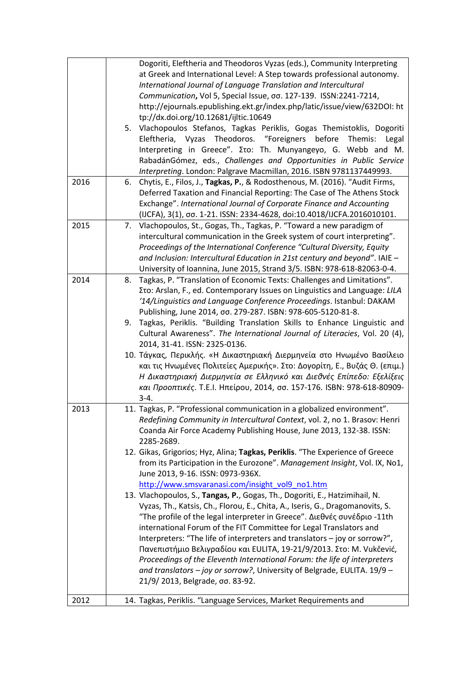| Dogoriti, Eleftheria and Theodoros Vyzas (eds.), Community Interpreting<br>at Greek and International Level: A Step towards professional autonomy.<br>International Journal of Language Translation and Intercultural<br>Communication, Vol 5, Special Issue, σσ. 127-139. ISSN:2241-7214,<br>http://ejournals.epublishing.ekt.gr/index.php/latic/issue/view/632DOI: ht<br>tp://dx.doi.org/10.12681/ijltic.10649<br>5. Vlachopoulos Stefanos, Tagkas Periklis, Gogas Themistoklis, Dogoriti<br>Eleftheria, Vyzas Theodoros. "Foreigners before<br>Themis:<br>Legal<br>Interpreting in Greece". Στο: Th. Munyangeyo, G. Webb and M.<br>RabadánGómez, eds., Challenges and Opportunities in Public Service<br>Interpreting. London: Palgrave Macmillan, 2016. ISBN 9781137449993. |
|---------------------------------------------------------------------------------------------------------------------------------------------------------------------------------------------------------------------------------------------------------------------------------------------------------------------------------------------------------------------------------------------------------------------------------------------------------------------------------------------------------------------------------------------------------------------------------------------------------------------------------------------------------------------------------------------------------------------------------------------------------------------------------|
| Chytis, E., Filos, J., Tagkas, P., & Rodosthenous, M. (2016). "Audit Firms,<br>6.<br>Deferred Taxation and Financial Reporting: The Case of The Athens Stock<br>Exchange". International Journal of Corporate Finance and Accounting<br>(IJCFA), 3(1), σσ. 1-21. ISSN: 2334-4628, doi:10.4018/IJCFA.2016010101.                                                                                                                                                                                                                                                                                                                                                                                                                                                                 |
| Vlachopoulos, St., Gogas, Th., Tagkas, P. "Toward a new paradigm of<br>7.<br>intercultural communication in the Greek system of court interpreting".<br>Proceedings of the International Conference "Cultural Diversity, Equity<br>and Inclusion: Intercultural Education in 21st century and beyond". IAIE -<br>University of Ioannina, June 2015, Strand 3/5. ISBN: 978-618-82063-0-4.                                                                                                                                                                                                                                                                                                                                                                                        |
| Tagkas, P. "Translation of Economic Texts: Challenges and Limitations".<br>8.<br>Στο: Arslan, F., ed. Contemporary Issues on Linguistics and Language: LILA<br>'14/Linguistics and Language Conference Proceedings. Istanbul: DAKAM<br>Publishing, June 2014, σσ. 279-287. ISBN: 978-605-5120-81-8.<br>Tagkas, Periklis. "Building Translation Skills to Enhance Linguistic and<br>9.<br>Cultural Awareness". The International Journal of Literacies, Vol. 20 (4),                                                                                                                                                                                                                                                                                                             |
| 2014, 31-41. ISSN: 2325-0136.<br>10. Τάγκας, Περικλής. «Η Δικαστηριακή Διερμηνεία στο Ηνωμένο Βασίλειο<br>και τις Ηνωμένες Πολιτείες Αμερικής». Στο: Δογορίτη, Ε., Βυζάς Θ. (επιμ.)<br>Η Δικαστηριακή Διερμηνεία σε Ελληνικό και Διεθνές Επίπεδο: Εξελίξεις<br>και Προοπτικές. Τ.Ε.Ι. Ηπείρου, 2014, σσ. 157-176. ISBN: 978-618-80909-<br>$3-4.$                                                                                                                                                                                                                                                                                                                                                                                                                                |
| 11. Tagkas, P. "Professional communication in a globalized environment".<br>Redefining Community in Intercultural Context, vol. 2, no 1. Brasov: Henri<br>Coanda Air Force Academy Publishing House, June 2013, 132-38. ISSN:<br>2285-2689.                                                                                                                                                                                                                                                                                                                                                                                                                                                                                                                                     |
| 12. Gikas, Grigorios; Hyz, Alina; Tagkas, Periklis. "The Experience of Greece<br>from its Participation in the Eurozone". Management Insight, Vol. IX, No1,<br>June 2013, 9-16. ISSN: 0973-936X.<br>http://www.smsvaranasi.com/insight_vol9_no1.htm<br>13. Vlachopoulos, S., Tangas, P., Gogas, Th., Dogoriti, E., Hatzimihail, N.<br>Vyzas, Th., Katsis, Ch., Florou, E., Chita, A., Iseris, G., Dragomanovits, S.<br>"The profile of the legal interpreter in Greece". Διεθνές συνέδριο -11th                                                                                                                                                                                                                                                                                 |
| international Forum of the FIT Committee for Legal Translators and<br>Interpreters: "The life of interpreters and translators - joy or sorrow?",<br>Πανεπιστήμιο Βελιγραδίου και EULITA, 19-21/9/2013. Στο: Μ. Vukčević,<br>Proceedings of the Eleventh International Forum: the life of interpreters<br>and translators - joy or sorrow?, University of Belgrade, EULITA. 19/9 -<br>21/9/2013, Belgrade, σσ. 83-92.<br>14. Tagkas, Periklis. "Language Services, Market Requirements and                                                                                                                                                                                                                                                                                       |
|                                                                                                                                                                                                                                                                                                                                                                                                                                                                                                                                                                                                                                                                                                                                                                                 |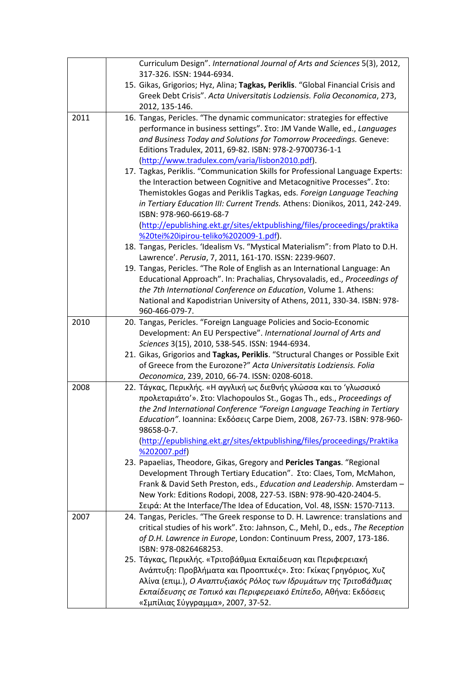|      | Curriculum Design". International Journal of Arts and Sciences 5(3), 2012,<br>317-326. ISSN: 1944-6934.                                                                                                                                                                                                                                                                                                                                                               |
|------|-----------------------------------------------------------------------------------------------------------------------------------------------------------------------------------------------------------------------------------------------------------------------------------------------------------------------------------------------------------------------------------------------------------------------------------------------------------------------|
|      | 15. Gikas, Grigorios; Hyz, Alina; Tagkas, Periklis. "Global Financial Crisis and<br>Greek Debt Crisis". Acta Universitatis Lodziensis. Folia Oeconomica, 273,<br>2012, 135-146.                                                                                                                                                                                                                                                                                       |
| 2011 | 16. Tangas, Pericles. "The dynamic communicator: strategies for effective<br>performance in business settings". Στο: JM Vande Walle, ed., Languages<br>and Business Today and Solutions for Tomorrow Proceedings. Geneve:<br>Editions Tradulex, 2011, 69-82. ISBN: 978-2-9700736-1-1<br>(http://www.tradulex.com/varia/lisbon2010.pdf).                                                                                                                               |
|      | 17. Tagkas, Periklis. "Communication Skills for Professional Language Experts:<br>the Interaction between Cognitive and Metacognitive Processes". Στο:<br>Themistokles Gogas and Periklis Tagkas, eds. Foreign Language Teaching<br>in Tertiary Education III: Current Trends. Athens: Dionikos, 2011, 242-249.<br>ISBN: 978-960-6619-68-7<br>(http://epublishing.ekt.gr/sites/ektpublishing/files/proceedings/praktika                                               |
|      | %20tei%20ipirou-teliko%202009-1.pdf).<br>18. Tangas, Pericles. 'Idealism Vs. "Mystical Materialism": from Plato to D.H.                                                                                                                                                                                                                                                                                                                                               |
|      | Lawrence'. Perusia, 7, 2011, 161-170. ISSN: 2239-9607.                                                                                                                                                                                                                                                                                                                                                                                                                |
|      | 19. Tangas, Pericles. "The Role of English as an International Language: An<br>Educational Approach". In: Prachalias, Chrysovaladis, ed., Proceedings of<br>the 7th International Conference on Education, Volume 1. Athens:<br>National and Kapodistrian University of Athens, 2011, 330-34. ISBN: 978-<br>960-466-079-7.                                                                                                                                            |
| 2010 | 20. Tangas, Pericles. "Foreign Language Policies and Socio-Economic<br>Development: An EU Perspective". International Journal of Arts and<br>Sciences 3(15), 2010, 538-545. ISSN: 1944-6934.                                                                                                                                                                                                                                                                          |
|      | 21. Gikas, Grigorios and Tagkas, Periklis. "Structural Changes or Possible Exit<br>of Greece from the Eurozone?" Acta Universitatis Lodziensis. Folia<br>Oeconomica, 239, 2010, 66-74. ISSN: 0208-6018.                                                                                                                                                                                                                                                               |
| 2008 | 22. Τάγκας, Περικλής. «Η αγγλική ως διεθνής γλώσσα και το 'γλωσσικό<br>προλεταριάτο'». Στο: Vlachopoulos St., Gogas Th., eds., Proceedings of<br>the 2nd International Conference "Foreign Language Teaching in Tertiary<br>Education". Ioannina: Εκδόσεις Carpe Diem, 2008, 267-73. ISBN: 978-960-<br>98658-0-7.                                                                                                                                                     |
|      | (http://epublishing.ekt.gr/sites/ektpublishing/files/proceedings/Praktika<br>%202007.pdf)<br>23. Papaelias, Theodore, Gikas, Gregory and Pericles Tangas. "Regional<br>Development Through Tertiary Education". Στο: Claes, Tom, McMahon,<br>Frank & David Seth Preston, eds., Education and Leadership. Amsterdam -<br>New York: Editions Rodopi, 2008, 227-53. ISBN: 978-90-420-2404-5.<br>Σειρά: At the Interface/The Idea of Education, Vol. 48, ISSN: 1570-7113. |
| 2007 | 24. Tangas, Pericles. "The Greek response to D. H. Lawrence: translations and<br>critical studies of his work". Στο: Jahnson, C., Mehl, D., eds., The Reception<br>of D.H. Lawrence in Europe, London: Continuum Press, 2007, 173-186.<br>ISBN: 978-0826468253.                                                                                                                                                                                                       |
|      | 25. Τάγκας, Περικλής. «Τριτοβάθμια Εκπαίδευση και Περιφερειακή<br>Ανάπτυξη: Προβλήματα και Προοπτικές». Στο: Γκίκας Γρηγόριος, Χυζ<br>Αλίνα (επιμ.), Ο Αναπτυξιακός Ρόλος των Ιδρυμάτων της Τριτοβάθμιας<br>Εκπαίδευσης σε Τοπικό και Περιφερειακό Επίπεδο, Αθήνα: Εκδόσεις<br>«Σμπίλιας Σύγγραμμα», 2007, 37-52.                                                                                                                                                     |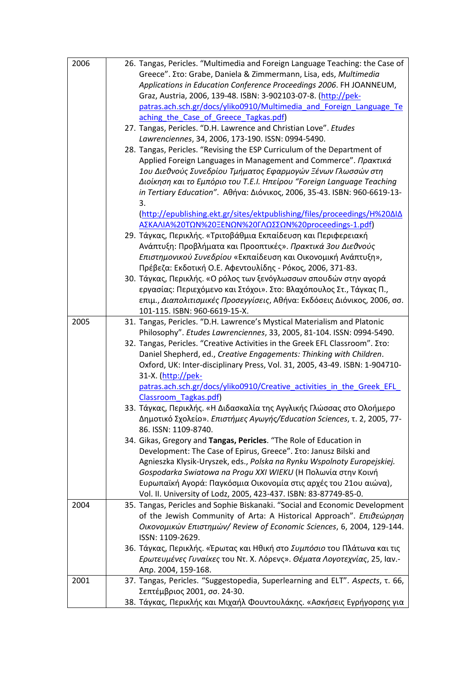| 2006 | 26. Tangas, Pericles. "Multimedia and Foreign Language Teaching: the Case of                                           |
|------|------------------------------------------------------------------------------------------------------------------------|
|      | Greece". Στο: Grabe, Daniela & Zimmermann, Lisa, eds, Multimedia                                                       |
|      | Applications in Education Conference Proceedings 2006. FH JOANNEUM,                                                    |
|      | Graz, Austria, 2006, 139-48. ISBN: 3-902103-07-8. (http://pek-                                                         |
|      | patras.ach.sch.gr/docs/yliko0910/Multimedia and Foreign Language Te                                                    |
|      | aching the Case of Greece Tagkas.pdf)                                                                                  |
|      | 27. Tangas, Pericles. "D.H. Lawrence and Christian Love". Etudes                                                       |
|      | Lawrenciennes, 34, 2006, 173-190. ISSN: 0994-5490.                                                                     |
|      | 28. Tangas, Pericles. "Revising the ESP Curriculum of the Department of                                                |
|      | Applied Foreign Languages in Management and Commerce". Πρακτικά                                                        |
|      | 1ου Διεθνούς Συνεδρίου Τμήματος Εφαρμογών Ξένων Γλωσσών στη                                                            |
|      | Διοίκηση και το Εμπόριο του Τ.Ε.Ι. Ηπείρου "Foreign Language Teaching                                                  |
|      | in Tertiary Education". Αθήνα: Διόνικος, 2006, 35-43. ISBN: 960-6619-13-                                               |
|      | 3.                                                                                                                     |
|      | (http://epublishing.ekt.gr/sites/ektpublishing/files/proceedings/H%20AIA                                               |
|      | ΑΣΚΑΛΙΑ%20ΤΩΝ%20ΞΕΝΩΝ%20ΓΛΩΣΣΩΝ%20proceedings-1.pdf)<br>29. Τάγκας, Περικλής. «Τριτοβάθμια Εκπαίδευση και Περιφερειακή |
|      | Ανάπτυξη: Προβλήματα και Προοπτικές». Πρακτικά 3ου Διεθνούς                                                            |
|      | Επιστημονικού Συνεδρίου «Εκπαίδευση και Οικονομική Ανάπτυξη»,                                                          |
|      | Πρέβεζα: Εκδοτική Ο.Ε. Αφεντουλίδης - Ρόκος, 2006, 371-83.                                                             |
|      | 30. Τάγκας, Περικλής. «Ο ρόλος των ξενόγλωσσων σπουδών στην αγορά                                                      |
|      | εργασίας: Περιεχόμενο και Στόχοι». Στο: Βλαχόπουλος Στ., Τάγκας Π.,                                                    |
|      | επιμ., Διαπολιτισμικές Προσεγγίσεις, Αθήνα: Εκδόσεις Διόνικος, 2006, σσ.                                               |
|      | 101-115. ISBN: 960-6619-15-X.                                                                                          |
| 2005 | 31. Tangas, Pericles. "D.H. Lawrence's Mystical Materialism and Platonic                                               |
|      | Philosophy". Etudes Lawrenciennes, 33, 2005, 81-104. ISSN: 0994-5490.                                                  |
|      | 32. Tangas, Pericles. "Creative Activities in the Greek EFL Classroom". Στο:                                           |
|      | Daniel Shepherd, ed., Creative Engagements: Thinking with Children.                                                    |
|      | Oxford, UK: Inter-disciplinary Press, Vol. 31, 2005, 43-49. ISBN: 1-904710-                                            |
|      | 31-X. (http://pek-                                                                                                     |
|      | patras.ach.sch.gr/docs/yliko0910/Creative activities in the Greek EFL                                                  |
|      | Classroom Tagkas.pdf)                                                                                                  |
|      | 33. Τάγκας, Περικλής. «Η Διδασκαλία της Αγγλικής Γλώσσας στο Ολοήμερο                                                  |
|      | Δημοτικό Σχολείο». Επιστήμες Αγωγής/Education Sciences, τ. 2, 2005, 77-                                                |
|      | 86. ISSN: 1109-8740.                                                                                                   |
|      | 34. Gikas, Gregory and Tangas, Pericles. "The Role of Education in                                                     |
|      | Development: The Case of Epirus, Greece". Στο: Janusz Bilski and                                                       |
|      | Agnieszka Klysik-Uryszek, eds., Polska na Rynku Wspolnoty Europejskiej.                                                |
|      | Gospodarka Swiatowa na Progu XXI WIEKU (Η Πολωνία στην Κοινή                                                           |
|      | Ευρωπαϊκή Αγορά: Παγκόσμια Οικονομία στις αρχές του 21ου αιώνα),                                                       |
|      | Vol. II. University of Lodz, 2005, 423-437. ISBN: 83-87749-85-0.                                                       |
| 2004 | 35. Tangas, Pericles and Sophie Biskanaki. "Social and Economic Development                                            |
|      | of the Jewish Community of Arta: A Historical Approach". Επιθεώρηση                                                    |
|      | Οικονομικών Επιστημών/ Review of Economic Sciences, 6, 2004, 129-144.<br>ISSN: 1109-2629.                              |
|      | 36. Τάγκας, Περικλής. «Έρωτας και Ηθική στο Συμπόσιο του Πλάτωνα και τις                                               |
|      |                                                                                                                        |
|      | Ερωτευμένες Γυναίκες του Ντ. Χ. Λόρενς». Θέματα Λογοτεχνίας, 25, Ιαν.-<br>Απρ. 2004, 159-168.                          |
| 2001 | 37. Tangas, Pericles. "Suggestopedia, Superlearning and ELT". Aspects, t. 66,                                          |
|      | Σεπτέμβριος 2001, σσ. 24-30.                                                                                           |
|      | 38. Τάγκας, Περικλής και Μιχαήλ Φουντουλάκης. «Ασκήσεις Εγρήγορσης για                                                 |
|      |                                                                                                                        |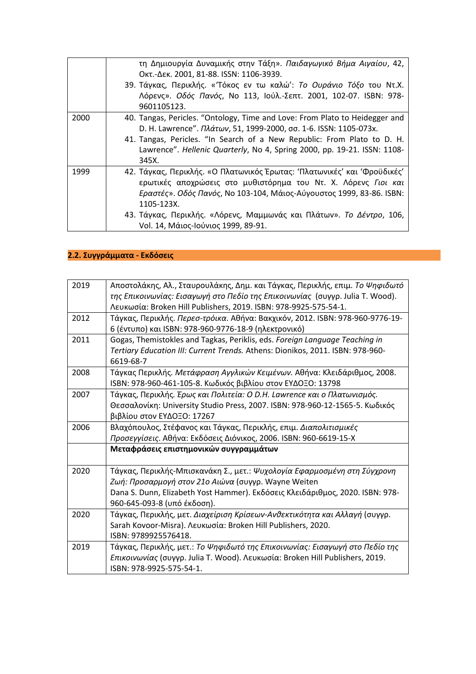|      | τη Δημιουργία Δυναμικής στην Τάξη». Παιδαγωγικό Βήμα Αιγαίου, 42,<br>Οκτ.-Δεκ. 2001, 81-88. ISSN: 1106-3939.<br>39. Τάγκας, Περικλής. «'Τόκος εν τω καλώ': Το Ουράνιο Τόξο του Ντ.Χ.<br>Λόρενς». Οδός Πανός, Νο 113, Ιούλ.-Σεπτ. 2001, 102-07. ISBN: 978-<br>9601105123.                                                                                |
|------|---------------------------------------------------------------------------------------------------------------------------------------------------------------------------------------------------------------------------------------------------------------------------------------------------------------------------------------------------------|
| 2000 | 40. Tangas, Pericles. "Ontology, Time and Love: From Plato to Heidegger and<br>D. H. Lawrence". Πλάτων, 51, 1999-2000, σσ. 1-6. ISSN: 1105-073x.<br>41. Tangas, Pericles. "In Search of a New Republic: From Plato to D. H.<br>Lawrence". Hellenic Quarterly, No 4, Spring 2000, pp. 19-21. ISSN: 1108-<br>345X.                                        |
| 1999 | 42. Τάγκας, Περικλής. «Ο Πλατωνικός Έρωτας: 'Πλατωνικές' και 'Φροϋδικές'<br>ερωτικές αποχρώσεις στο μυθιστόρημα του Ντ. Χ. Λόρενς Γιοι και<br>Εραστές». Οδός Πανός, Νο 103-104, Μάιος-Αύγουστος 1999, 83-86. ISBN:<br>1105-123X.<br>43. Τάγκας, Περικλής. «Λόρενς, Μαμμωνάς και Πλάτων». <i>Το Δέντρο</i> , 106,<br>Vol. 14, Μάιος-Ιούνιος 1999, 89-91. |

## **2.2. Συγγράμματα - Εκδόσεις**

| 2019 | Αποστολάκης, Αλ., Σταυρουλάκης, Δημ. και Τάγκας, Περικλής, επιμ. Το Ψηφιδωτό<br>της Επικοινωνίας: Εισαγωγή στο Πεδίο της Επικοινωνίας (συγγρ. Julia T. Wood).<br>Λευκωσία: Broken Hill Publishers, 2019. ISBN: 978-9925-575-54-1.               |
|------|-------------------------------------------------------------------------------------------------------------------------------------------------------------------------------------------------------------------------------------------------|
| 2012 | Τάγκας, Περικλής. Περεσ-τρόικα. Αθήνα: Βακχικόν, 2012. ISBN: 978-960-9776-19-<br>6 (έντυπο) και ISBN: 978-960-9776-18-9 (ηλεκτρονικό)                                                                                                           |
| 2011 | Gogas, Themistokles and Tagkas, Periklis, eds. Foreign Language Teaching in<br>Tertiary Education III: Current Trends. Athens: Dionikos, 2011. ISBN: 978-960-<br>6619-68-7                                                                      |
| 2008 | Τάγκας Περικλής. Μετάφραση Αγγλικών Κειμένων. Αθήνα: Κλειδάριθμος, 2008.<br>ISBN: 978-960-461-105-8. Κωδικός βιβλίου στον ΕΥΔΟΞΟ: 13798                                                                                                         |
| 2007 | Τάγκας, Περικλής. Έρως και Πολιτεία: Ο D.H. Lawrence και ο Πλατωνισμός.<br>Θεσσαλονίκη: University Studio Press, 2007. ISBN: 978-960-12-1565-5. Κωδικός<br>βιβλίου στον ΕΥΔΟΞΟ: 17267                                                           |
| 2006 | Βλαχόπουλος, Στέφανος και Τάγκας, Περικλής, επιμ. Διαπολιτισμικές<br>Προσεγγίσεις. Αθήνα: Εκδόσεις Διόνικος, 2006. ISBN: 960-6619-15-X                                                                                                          |
|      | Μεταφράσεις επιστημονικών συγγραμμάτων                                                                                                                                                                                                          |
| 2020 | Τάγκας, Περικλής-Μπισκανάκη Σ., μετ.: Ψυχολογία Εφαρμοσμένη στη Σύγχρονη<br>Ζωή: Προσαρμογή στον 21ο Αιώνα (συγγρ. Wayne Weiten<br>Dana S. Dunn, Elizabeth Yost Hammer). Εκδόσεις Κλειδάριθμος, 2020. ISBN: 978-<br>960-645-093-8 (υπό έκδοση). |
| 2020 | Τάγκας, Περικλής, μετ. Διαχείριση Κρίσεων-Ανθεκτικότητα και Αλλαγή (συγγρ.<br>Sarah Kovoor-Misra). Λευκωσία: Broken Hill Publishers, 2020.<br>ISBN: 9789925576418.                                                                              |
| 2019 | Τάγκας, Περικλής, μετ.: Το Ψηφιδωτό της Επικοινωνίας: Εισαγωγή στο Πεδίο της<br>Επικοινωνίας (συγγρ. Julia T. Wood). Λευκωσία: Broken Hill Publishers, 2019.<br>ISBN: 978-9925-575-54-1.                                                        |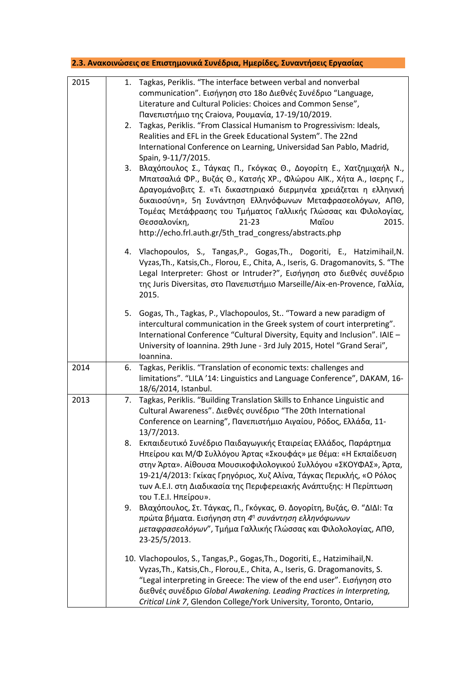| 2.3. Ανακοινώσεις σε Επιστημονικά Συνέδρια, Ημερίδες, Συναντήσεις Εργασίας |    |                                                                                                                                                                                                                                                                                                                                                                                                                                                               |  |
|----------------------------------------------------------------------------|----|---------------------------------------------------------------------------------------------------------------------------------------------------------------------------------------------------------------------------------------------------------------------------------------------------------------------------------------------------------------------------------------------------------------------------------------------------------------|--|
| 2015                                                                       |    | 1. Tagkas, Periklis. "The interface between verbal and nonverbal<br>communication". Εισήγηση στο 18ο Διεθνές Συνέδριο "Language,<br>Literature and Cultural Policies: Choices and Common Sense",<br>Πανεπιστήμιο της Craiova, Ρουμανία, 17-19/10/2019.                                                                                                                                                                                                        |  |
|                                                                            | 2. | Tagkas, Periklis. "From Classical Humanism to Progressivism: Ideals,<br>Realities and EFL in the Greek Educational System". The 22nd<br>International Conference on Learning, Universidad San Pablo, Madrid,<br>Spain, 9-11/7/2015.                                                                                                                                                                                                                           |  |
|                                                                            | 3. | Βλαχόπουλος Σ., Τάγκας Π., Γκόγκας Θ., Δογορίτη Ε., Χατζημιχαήλ Ν.,<br>Μπατσαλιά ΦΡ., Βυζάς Θ., Κατσής ΧΡ., Φλώρου ΑΙΚ., Χήτα Α., Ισερης Γ.,<br>Δραγομάνοβιτς Σ. «Τι δικαστηριακό διερμηνέα χρειάζεται η ελληνική<br>δικαιοσύνη», 5η Συνάντηση Ελληνόφωνων Μεταφρασεολόγων, ΑΠΘ,<br>Τομέας Μετάφρασης του Τμήματος Γαλλικής Γλώσσας και Φιλολογίας,<br>Θεσσαλονίκη,<br>Μαΐου<br>$21 - 23$<br>2015.<br>http://echo.frl.auth.gr/5th_trad_congress/abstracts.php |  |
|                                                                            |    | 4. Vlachopoulos, S., Tangas, P., Gogas, Th., Dogoriti, E., Hatzimihail, N.<br>Vyzas, Th., Katsis, Ch., Florou, E., Chita, A., Iseris, G. Dragomanovits, S. "The<br>Legal Interpreter: Ghost or Intruder?", Εισήγηση στο διεθνές συνέδριο<br>της Juris Diversitas, στο Πανεπιστήμιο Marseille/Aix-en-Provence, Γαλλία,<br>2015.                                                                                                                                |  |
|                                                                            | 5. | Gogas, Th., Tagkas, P., Vlachopoulos, St "Toward a new paradigm of<br>intercultural communication in the Greek system of court interpreting".<br>International Conference "Cultural Diversity, Equity and Inclusion". IAIE -<br>University of Ioannina. 29th June - 3rd July 2015, Hotel "Grand Serai",<br>Ioannina.                                                                                                                                          |  |
| 2014                                                                       | 6. | Tagkas, Periklis. "Translation of economic texts: challenges and<br>limitations". "LILA '14: Linguistics and Language Conference", DAKAM, 16-<br>18/6/2014, Istanbul.                                                                                                                                                                                                                                                                                         |  |
| 2013                                                                       | 7. | Tagkas, Periklis. "Building Translation Skills to Enhance Linguistic and<br>Cultural Awareness". Διεθνές συνέδριο "The 20th International<br>Conference on Learning", Πανεπιστήμιο Αιγαίου, Ρόδος, Ελλάδα, 11-<br>13/7/2013.                                                                                                                                                                                                                                  |  |
|                                                                            | 8. | Εκπαιδευτικό Συνέδριο Παιδαγωγικής Εταιρείας Ελλάδος, Παράρτημα<br>Ηπείρου και Μ/Φ Συλλόγου Άρτας «Σκουφάς» με θέμα: «Η Εκπαίδευση<br>στην Άρτα». Αίθουσα Μουσικοφιλολογικού Συλλόγου «ΣΚΟΥΦΑΣ», Άρτα,<br>19-21/4/2013: Γκίκας Γρηγόριος, Χυζ Αλίνα, Τάγκας Περικλής, «Ο Ρόλος<br>των Α.Ε.Ι. στη Διαδικασία της Περιφερειακής Ανάπτυξης: Η Περίπτωση<br>του Τ.Ε.Ι. Ηπείρου».                                                                                  |  |
|                                                                            | 9. | Βλαχόπουλος, Στ. Τάγκας, Π., Γκόγκας, Θ. Δογορίτη, Βυζάς, Θ. "ΔΙΔΙ: Τα<br>πρώτα βήματα. Εισήγηση στη 4 <sup>η</sup> συνάντηση ελληνόφωνων<br>μεταφρασεολόγων", Τμήμα Γαλλικής Γλώσσας και Φιλολολογίας, ΑΠΘ,<br>23-25/5/2013.                                                                                                                                                                                                                                 |  |
|                                                                            |    | 10. Vlachopoulos, S., Tangas, P., Gogas, Th., Dogoriti, E., Hatzimihail, N.<br>Vyzas, Th., Katsis, Ch., Florou, E., Chita, A., Iseris, G. Dragomanovits, S.<br>"Legal interpreting in Greece: The view of the end user". Εισήγηση στο<br>διεθνές συνέδριο Global Awakening. Leading Practices in Interpreting,<br>Critical Link 7, Glendon College/York University, Toronto, Ontario,                                                                         |  |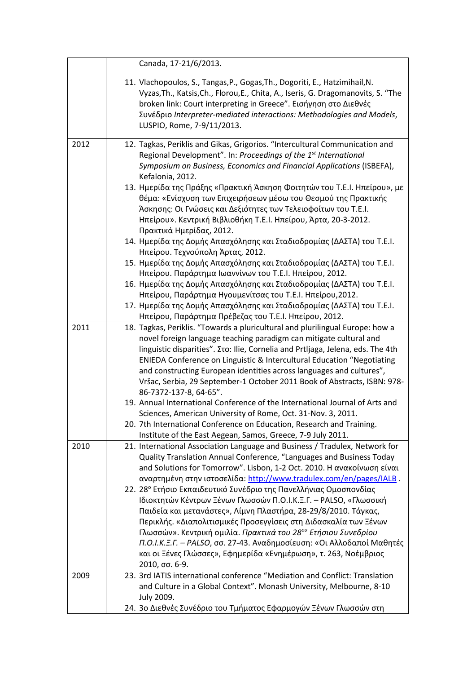|      | Canada, 17-21/6/2013.                                                                                                                                                                                                                                                                                                                                                                    |
|------|------------------------------------------------------------------------------------------------------------------------------------------------------------------------------------------------------------------------------------------------------------------------------------------------------------------------------------------------------------------------------------------|
|      | 11. Vlachopoulos, S., Tangas, P., Gogas, Th., Dogoriti, E., Hatzimihail, N.<br>Vyzas, Th., Katsis, Ch., Florou, E., Chita, A., Iseris, G. Dragomanovits, S. "The<br>broken link: Court interpreting in Greece". Εισήγηση στο Διεθνές<br>Συνέδριο Interpreter-mediated interactions: Methodologies and Models,<br>LUSPIO, Rome, 7-9/11/2013.                                              |
| 2012 | 12. Tagkas, Periklis and Gikas, Grigorios. "Intercultural Communication and                                                                                                                                                                                                                                                                                                              |
|      | Regional Development". In: Proceedings of the 1 <sup>st</sup> International<br>Symposium on Business, Economics and Financial Applications (ISBEFA),<br>Kefalonia, 2012.                                                                                                                                                                                                                 |
|      | 13. Ημερίδα της Πράξης «Πρακτική Άσκηση Φοιτητών του Τ.Ε.Ι. Ηπείρου», με<br>θέμα: «Ενίσχυση των Επιχειρήσεων μέσω του Θεσμού της Πρακτικής<br>Άσκησης: Οι Γνώσεις και Δεξιότητες των Τελειοφοίτων του Τ.Ε.Ι.<br>Ηπείρου». Κεντρική Βιβλιοθήκη Τ.Ε.Ι. Ηπείρου, Άρτα, 20-3-2012.<br>Πρακτικά Ημερίδας, 2012.                                                                               |
|      | 14. Ημερίδα της Δομής Απασχόλησης και Σταδιοδρομίας (ΔΑΣΤΑ) του Τ.Ε.Ι.<br>Ηπείρου. Τεχνούπολη Άρτας, 2012.                                                                                                                                                                                                                                                                               |
|      | 15. Ημερίδα της Δομής Απασχόλησης και Σταδιοδρομίας (ΔΑΣΤΑ) του Τ.Ε.Ι.<br>Ηπείρου. Παράρτημα Ιωαννίνων του Τ.Ε.Ι. Ηπείρου, 2012.                                                                                                                                                                                                                                                         |
|      | 16. Ημερίδα της Δομής Απασχόλησης και Σταδιοδρομίας (ΔΑΣΤΑ) του Τ.Ε.Ι.                                                                                                                                                                                                                                                                                                                   |
|      | Ηπείρου, Παράρτημα Ηγουμενίτσας του Τ.Ε.Ι. Ηπείρου, 2012.<br>17. Ημερίδα της Δομής Απασχόλησης και Σταδιοδρομίας (ΔΑΣΤΑ) του Τ.Ε.Ι.                                                                                                                                                                                                                                                      |
|      | Ηπείρου, Παράρτημα Πρέβεζας του Τ.Ε.Ι. Ηπείρου, 2012.                                                                                                                                                                                                                                                                                                                                    |
| 2011 | 18. Tagkas, Periklis. "Towards a pluricultural and plurilingual Europe: how a<br>novel foreign language teaching paradigm can mitigate cultural and<br>linguistic disparities". Στο: Ilie, Cornelia and Prtljaga, Jelena, eds. The 4th<br>ENIEDA Conference on Linguistic & Intercultural Education "Negotiating<br>and constructing European identities across languages and cultures", |
|      | Vršac, Serbia, 29 September-1 October 2011 Book of Abstracts, ISBN: 978-<br>86-7372-137-8, 64-65".                                                                                                                                                                                                                                                                                       |
|      | 19. Annual International Conference of the International Journal of Arts and<br>Sciences, American University of Rome, Oct. 31-Nov. 3, 2011                                                                                                                                                                                                                                              |
|      | 20. 7th International Conference on Education, Research and Training.                                                                                                                                                                                                                                                                                                                    |
|      | Institute of the East Aegean, Samos, Greece, 7-9 July 2011.                                                                                                                                                                                                                                                                                                                              |
| 2010 | 21. International Association Language and Business / Tradulex, Network for<br>Quality Translation Annual Conference, "Languages and Business Today<br>and Solutions for Tomorrow". Lisbon, 1-2 Oct. 2010. Η ανακοίνωση είναι<br>αναρτημένη στην ιστοσελίδα: http://www.tradulex.com/en/pages/IALB.                                                                                      |
|      | 22. 28° Ετήσιο Εκπαιδευτικό Συνέδριο της Πανελλήνιας Ομοσπονδίας                                                                                                                                                                                                                                                                                                                         |
|      | Ιδιοκτητών Κέντρων Ξένων Γλωσσών Π.Ο.Ι.Κ.Ξ.Γ. - PALSO, «Γλωσσική<br>Παιδεία και μετανάστες», Λίμνη Πλαστήρα, 28-29/8/2010. Τάγκας,                                                                                                                                                                                                                                                       |
|      | Περικλής. «Διαπολιτισμικές Προσεγγίσεις στη Διδασκαλία των Ξένων                                                                                                                                                                                                                                                                                                                         |
|      | Γλωσσών». Κεντρική ομιλία. Πρακτικά του 28 <sup>ου</sup> Ετήσιου Συνεδρίου                                                                                                                                                                                                                                                                                                               |
|      | Π.Ο.Ι.Κ.Ξ.Γ. – PALSO, σσ. 27-43. Αναδημοσίευση: «Οι Αλλοδαποί Μαθητές                                                                                                                                                                                                                                                                                                                    |
|      | και οι Ξένες Γλώσσες», Εφημερίδα «Ενημέρωση», τ. 263, Νοέμβριος<br>2010, σσ. 6-9.                                                                                                                                                                                                                                                                                                        |
| 2009 | 23. 3rd IATIS international conference "Mediation and Conflict: Translation                                                                                                                                                                                                                                                                                                              |
|      | and Culture in a Global Context". Monash University, Melbourne, 8-10<br>July 2009.                                                                                                                                                                                                                                                                                                       |
|      | 24. 3ο Διεθνές Συνέδριο του Τμήματος Εφαρμογών Ξένων Γλωσσών στη                                                                                                                                                                                                                                                                                                                         |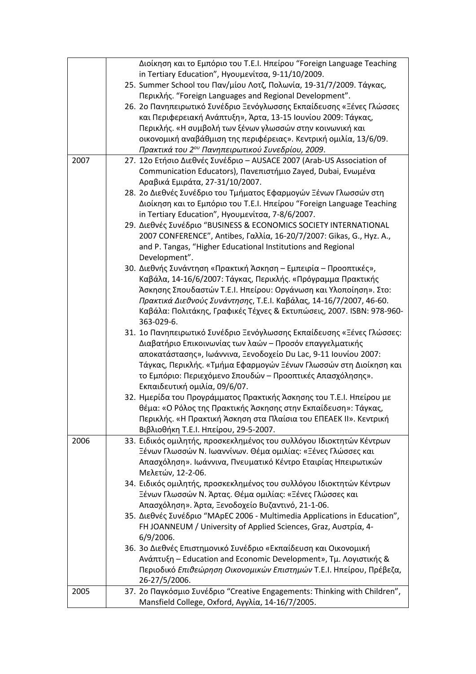|      | Διοίκηση και το Εμπόριο του Τ.Ε.Ι. Ηπείρου "Foreign Language Teaching<br>in Tertiary Education", Ηγουμενίτσα, 9-11/10/2009.<br>25. Summer School του Παν/μίου Λοτζ, Πολωνία, 19-31/7/2009. Τάγκας,<br>Περικλής. "Foreign Languages and Regional Development".<br>26. 2ο Πανηπειρωτικό Συνέδριο Ξενόγλωσσης Εκπαίδευσης «Ξένες Γλώσσες                                    |
|------|--------------------------------------------------------------------------------------------------------------------------------------------------------------------------------------------------------------------------------------------------------------------------------------------------------------------------------------------------------------------------|
|      | και Περιφερειακή Ανάπτυξη», Άρτα, 13-15 Ιουνίου 2009: Τάγκας,<br>Περικλής. «Η συμβολή των ξένων γλωσσών στην κοινωνική και<br>οικονομική αναβάθμιση της περιφέρειας». Κεντρική ομιλία, 13/6/09.                                                                                                                                                                          |
|      | Πρακτικά του 2 <sup>ου</sup> Πανηπειρωτικού Συνεδρίου, 2009.                                                                                                                                                                                                                                                                                                             |
| 2007 | 27. 12ο Ετήσιο Διεθνές Συνέδριο - AUSACE 2007 (Arab-US Association of<br>Communication Educators), Πανεπιστήμιο Zayed, Dubai, Ενωμένα<br>Αραβικά Εμιράτα, 27-31/10/2007.                                                                                                                                                                                                 |
|      | 28. 2ο Διεθνές Συνέδριο του Τμήματος Εφαρμογών Ξένων Γλωσσών στη<br>Διοίκηση και το Εμπόριο του Τ.Ε.Ι. Ηπείρου "Foreign Language Teaching<br>in Tertiary Education", Ηγουμενίτσα, 7-8/6/2007.                                                                                                                                                                            |
|      | 29. Διεθνές Συνέδριο "BUSINESS & ECONOMICS SOCIETY INTERNATIONAL<br>2007 CONFERENCE", Antibes, Γαλλία, 16-20/7/2007: Gikas, G., Hyz. A.,<br>and P. Tangas, "Higher Educational Institutions and Regional<br>Development".                                                                                                                                                |
|      | 30. Διεθνής Συνάντηση «Πρακτική Άσκηση – Εμπειρία – Προοπτικές»,<br>Καβάλα, 14-16/6/2007: Τάγκας, Περικλής. «Πρόγραμμα Πρακτικής<br>Άσκησης Σπουδαστών Τ.Ε.Ι. Ηπείρου: Οργάνωση και Υλοποίηση». Στο:<br>Πρακτικά Διεθνούς Συνάντησης, Τ.Ε.Ι. Καβάλας, 14-16/7/2007, 46-60.<br>Καβάλα: Πολιτάκης, Γραφικές Τέχνες & Εκτυπώσεις, 2007. ISBN: 978-960-<br>363-029-6.        |
|      | 31. 1ο Πανηπειρωτικό Συνέδριο Ξενόγλωσσης Εκπαίδευσης «Ξένες Γλώσσες:<br>Διαβατήριο Επικοινωνίας των λαών – Προσόν επαγγελματικής<br>αποκατάστασης», Ιωάννινα, Ξενοδοχείο Du Lac, 9-11 Ιουνίου 2007:<br>Τάγκας, Περικλής. «Τμήμα Εφαρμογών Ξένων Γλωσσών στη Διοίκηση και<br>το Εμπόριο: Περιεχόμενο Σπουδών – Προοπτικές Απασχόλησης».<br>Εκπαιδευτική ομιλία, 09/6/07. |
|      | 32. Ημερίδα του Προγράμματος Πρακτικής Άσκησης του Τ.Ε.Ι. Ηπείρου με<br>θέμα: «Ο Ρόλος της Πρακτικής Άσκησης στην Εκπαίδευση»: Τάγκας,<br>Περικλής. «Η Πρακτική Άσκηση στα Πλαίσια του ΕΠΕΑΕΚ ΙΙ». Κεντρική<br>Βιβλιοθήκη Τ.Ε.Ι. Ηπείρου, 29-5-2007.                                                                                                                     |
| 2006 | 33. Ειδικός ομιλητής, προσκεκλημένος του συλλόγου Ιδιοκτητών Κέντρων<br>Ξένων Γλωσσών Ν. Ιωαννίνων. Θέμα ομιλίας: «Ξένες Γλώσσες και<br>Απασχόληση». Ιωάννινα, Πνευματικό Κέντρο Εταιρίας Ηπειρωτικών<br>Μελετών, 12-2-06.                                                                                                                                               |
|      | 34. Ειδικός ομιλητής, προσκεκλημένος του συλλόγου Ιδιοκτητών Κέντρων<br>Ξένων Γλωσσών Ν. Άρτας. Θέμα ομιλίας: «Ξένες Γλώσσες και<br>Απασχόληση». Άρτα, Ξενοδοχείο Βυζαντινό, 21-1-06.                                                                                                                                                                                    |
|      | 35. Διεθνές Συνέδριο "MApEC 2006 - Multimedia Applications in Education",<br>FH JOANNEUM / University of Applied Sciences, Graz, Αυστρία, 4-<br>6/9/2006.                                                                                                                                                                                                                |
|      | 36. 3ο Διεθνές Επιστημονικό Συνέδριο «Εκπαίδευση και Οικονομική<br>Ανάπτυξη - Education and Economic Development», Τμ. Λογιστικής &<br>Περιοδικό Επιθεώρηση Οικονομικών Επιστημών Τ.Ε.Ι. Ηπείρου, Πρέβεζα,<br>26-27/5/2006.                                                                                                                                              |
| 2005 | 37. 2ο Παγκόσμιο Συνέδριο "Creative Engagements: Thinking with Children",<br>Mansfield College, Oxford, Αγγλία, 14-16/7/2005.                                                                                                                                                                                                                                            |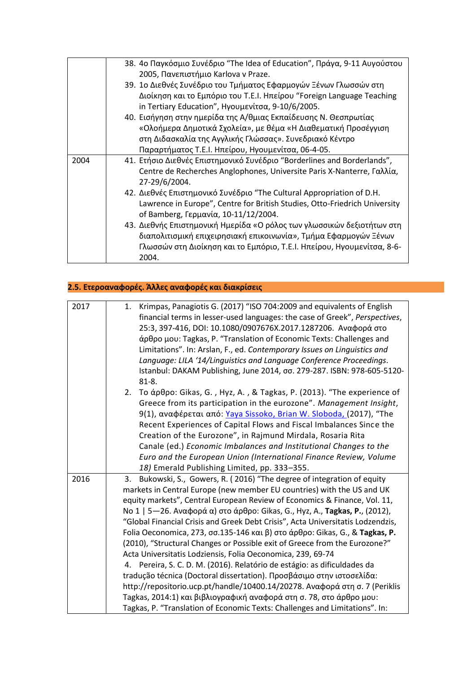|      | 38. 4ο Παγκόσμιο Συνέδριο "The Idea of Education", Πράγα, 9-11 Αυγούστου   |
|------|----------------------------------------------------------------------------|
|      | 2005, Πανεπιστήμιο Karlova v Praze.                                        |
|      | 39. 1ο Διεθνές Συνέδριο του Τμήματος Εφαρμογών Ξένων Γλωσσών στη           |
|      | Διοίκηση και το Εμπόριο του Τ.Ε.Ι. Ηπείρου "Foreign Language Teaching      |
|      | in Tertiary Education", Ηγουμενίτσα, 9-10/6/2005.                          |
|      | 40. Εισήγηση στην ημερίδα της Α/θμιας Εκπαίδευσης Ν. Θεσπρωτίας            |
|      | «Ολοήμερα Δημοτικά Σχολεία», με θέμα «Η Διαθεματική Προσέγγιση             |
|      | στη Διδασκαλία της Αγγλικής Γλώσσας». Συνεδριακό Κέντρο                    |
|      | Παραρτήματος Τ.Ε.Ι. Ηπείρου, Ηγουμενίτσα, 06-4-05.                         |
| 2004 | 41. Ετήσιο Διεθνές Επιστημονικό Συνέδριο "Borderlines and Borderlands",    |
|      | Centre de Recherches Anglophones, Universite Paris X-Nanterre, Γαλλία,     |
|      | 27-29/6/2004.                                                              |
|      | 42. Διεθνές Επιστημονικό Συνέδριο "The Cultural Appropriation of D.H.      |
|      | Lawrence in Europe", Centre for British Studies, Otto-Friedrich University |
|      | of Bamberg, Γερμανία, 10-11/12/2004.                                       |
|      | 43. Διεθνής Επιστημονική Ημερίδα «Ο ρόλος των γλωσσικών δεξιοτήτων στη     |
|      | διαπολιτισμική επιχειρησιακή επικοινωνία», Τμήμα Εφαρμογών Ξένων           |
|      | Γλωσσών στη Διοίκηση και το Εμπόριο, Τ.Ε.Ι. Ηπείρου, Ηγουμενίτσα, 8-6-     |
|      | 2004.                                                                      |

## **2.5. Ετεροαναφορές. Άλλες αναφορές και διακρίσεις**

| Krimpas, Panagiotis G. (2017) "ISO 704:2009 and equivalents of English<br>1.<br>financial terms in lesser-used languages: the case of Greek", Perspectives, |
|-------------------------------------------------------------------------------------------------------------------------------------------------------------|
| 25:3, 397-416, DOI: 10.1080/0907676X.2017.1287206. Αναφορά στο                                                                                              |
| άρθρο μου: Tagkas, P. "Translation of Economic Texts: Challenges and                                                                                        |
| Limitations". In: Arslan, F., ed. Contemporary Issues on Linguistics and                                                                                    |
| Language: LILA '14/Linguistics and Language Conference Proceedings.                                                                                         |
| Istanbul: DAKAM Publishing, June 2014, σσ. 279-287. ISBN: 978-605-5120-                                                                                     |
| $81 - 8.$                                                                                                                                                   |
| To άρθρο: Gikas, G., Hyz, A., & Tagkas, P. (2013). "The experience of<br>2.                                                                                 |
| Greece from its participation in the eurozone". Management Insight,                                                                                         |
| 9(1), αναφέρεται από: Yaya Sissoko, Brian W. Sloboda, (2017), "The                                                                                          |
| Recent Experiences of Capital Flows and Fiscal Imbalances Since the                                                                                         |
| Creation of the Eurozone", in Rajmund Mirdala, Rosaria Rita                                                                                                 |
| Canale (ed.) Economic Imbalances and Institutional Changes to the                                                                                           |
| Euro and the European Union (International Finance Review, Volume                                                                                           |
| 18) Emerald Publishing Limited, pp. 333-355.                                                                                                                |
| Bukowski, S., Gowers, R. (2016) "The degree of integration of equity<br>3.                                                                                  |
| markets in Central Europe (new member EU countries) with the US and UK                                                                                      |
| equity markets", Central European Review of Economics & Finance, Vol. 11,                                                                                   |
| No 1   5-26. Αναφορά α) στο άρθρο: Gikas, G., Hyz, A., Tagkas, P., (2012),                                                                                  |
| "Global Financial Crisis and Greek Debt Crisis", Acta Universitatis Lodzendzis,                                                                             |
| Folia Oeconomica, 273, σσ.135-146 και β) στο άρθρο: Gikas, G., & Tagkas, P.<br>(2010), "Structural Changes or Possible exit of Greece from the Eurozone?"   |
| Acta Universitatis Lodziensis, Folia Oeconomica, 239, 69-74                                                                                                 |
| 4. Pereira, S. C. D. M. (2016). Relatório de estágio: as dificuldades da                                                                                    |
| tradução técnica (Doctoral dissertation). Προσβάσιμο στην ιστοσελίδα:                                                                                       |
| http://repositorio.ucp.pt/handle/10400.14/20278. Αναφορά στη σ. 7 (Periklis                                                                                 |
| Tagkas, 2014:1) και βιβλιογραφική αναφορά στη σ. 78, στο άρθρο μου:                                                                                         |
| Tagkas, P. "Translation of Economic Texts: Challenges and Limitations". In:                                                                                 |
|                                                                                                                                                             |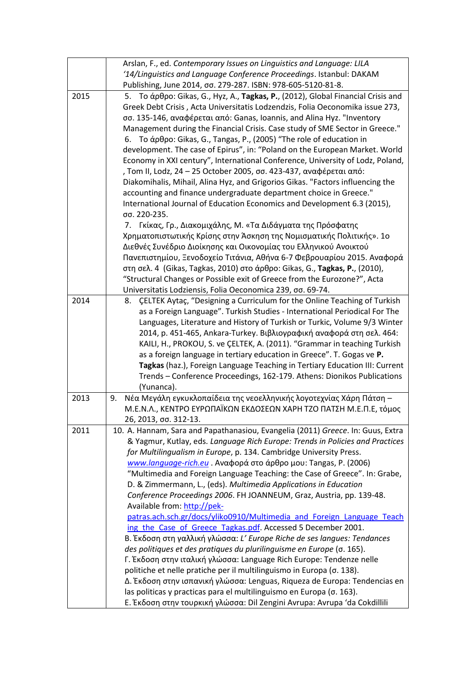|      | Arslan, F., ed. Contemporary Issues on Linguistics and Language: LILA                                                               |
|------|-------------------------------------------------------------------------------------------------------------------------------------|
|      | '14/Linguistics and Language Conference Proceedings. Istanbul: DAKAM                                                                |
|      | Publishing, June 2014, σσ. 279-287. ISBN: 978-605-5120-81-8.                                                                        |
| 2015 | 5. Το άρθρο: Gikas, G., Hyz, A., Tagkas, P., (2012), Global Financial Crisis and                                                    |
|      | Greek Debt Crisis, Acta Universitatis Lodzendzis, Folia Oeconomika issue 273,                                                       |
|      | σσ. 135-146, αναφέρεται από: Ganas, Ioannis, and Alina Hyz. "Inventory                                                              |
|      | Management during the Financial Crisis. Case study of SME Sector in Greece."                                                        |
|      | 6. To άρθρο: Gikas, G., Tangas, P., (2005) "The role of education in                                                                |
|      | development. The case of Epirus", in: "Poland on the European Market. World                                                         |
|      | Economy in XXI century", International Conference, University of Lodz, Poland,                                                      |
|      | , Tom II, Lodz, 24 – 25 October 2005, σσ. 423-437, αναφέρεται από:                                                                  |
|      | Diakomihalis, Mihail, Alina Hyz, and Grigorios Gikas. "Factors influencing the                                                      |
|      | accounting and finance undergraduate department choice in Greece."                                                                  |
|      | International Journal of Education Economics and Development 6.3 (2015),                                                            |
|      | σσ. 220-235.                                                                                                                        |
|      | 7. Γκίκας, Γρ., Διακομιχάλης, Μ. «Τα Διδάγματα της Πρόσφατης                                                                        |
|      | Χρηματοπιστωτικής Κρίσης στην Άσκηση της Νομισματικής Πολιτικής». 1ο                                                                |
|      | Διεθνές Συνέδριο Διοίκησης και Οικονομίας του Ελληνικού Ανοικτού                                                                    |
|      | Πανεπιστημίου, Ξενοδοχείο Τιτάνια, Αθήνα 6-7 Φεβρουαρίου 2015. Αναφορά                                                              |
|      | στη σελ. 4 (Gikas, Tagkas, 2010) στο άρθρο: Gikas, G., Tagkas, P., (2010),                                                          |
|      | "Structural Changes or Possible exit of Greece from the Eurozone?", Acta                                                            |
|      | Universitatis Lodziensis, Folia Oeconomica 239, σσ. 69-74.                                                                          |
| 2014 | <b>CELTEK Aytaç, "Designing a Curriculum for the Online Teaching of Turkish</b><br>8.                                               |
|      | as a Foreign Language". Turkish Studies - International Periodical For The                                                          |
|      | Languages, Literature and History of Turkish or Turkic, Volume 9/3 Winter                                                           |
|      | 2014, p. 451-465, Ankara-Turkey. Βιβλιογραφική αναφορά στη σελ. 464:                                                                |
|      | KAILI, H., PROKOU, S. ve ÇELTEK, A. (2011). "Grammar in teaching Turkish                                                            |
|      | as a foreign language in tertiary education in Greece". T. Gogas ve P.                                                              |
|      | Tagkas (haz.), Foreign Language Teaching in Tertiary Education III: Current                                                         |
|      | Trends - Conference Proceedings, 162-179. Athens: Dionikos Publications                                                             |
|      | (Yunanca).                                                                                                                          |
| 2013 | Νέα Μεγάλη εγκυκλοπαίδεια της νεοελληνικής λογοτεχνίας Χάρη Πάτση -<br>9.                                                           |
|      | Μ.Ε.Ν.Λ., ΚΕΝΤΡΟ ΕΥΡΩΠΑΪΚΩΝ ΕΚΔΟΣΕΩΝ ΧΑΡΗ ΤΖΟ ΠΑΤΣΗ Μ.Ε.Π.Ε, τόμος                                                                  |
|      | 26, 2013, σσ. 312-13.                                                                                                               |
| 2011 | 10. A. Hannam, Sara and Papathanasiou, Evangelia (2011) Greece. In: Guus, Extra                                                     |
|      | & Yagmur, Kutlay, eds. Language Rich Europe: Trends in Policies and Practices                                                       |
|      | for Multilingualism in Europe, p. 134. Cambridge University Press.<br>www.language-rich.eu Aναφορά στο άρθρο μου: Tangas, P. (2006) |
|      | "Multimedia and Foreign Language Teaching: the Case of Greece". In: Grabe,                                                          |
|      | D. & Zimmermann, L., (eds). Multimedia Applications in Education                                                                    |
|      | Conference Proceedings 2006. FH JOANNEUM, Graz, Austria, pp. 139-48.                                                                |
|      | Available from: http://pek-                                                                                                         |
|      | patras.ach.sch.gr/docs/yliko0910/Multimedia and Foreign Language Teach                                                              |
|      | ing the Case of Greece Tagkas.pdf. Accessed 5 December 2001.                                                                        |
|      | B. Έκδοση στη γαλλική γλώσσα: L' Europe Riche de ses langues: Tendances                                                             |
|      | des politiques et des pratiques du plurilinguisme en Europe (σ. 165).                                                               |
|      | Γ. Έκδοση στην ιταλική γλώσσα: Language Rich Europe: Tendenze nelle                                                                 |
|      | politiche et nelle pratiche per il multilinguismo in Europa (σ. 138).                                                               |
|      | Δ. Έκδοση στην ισπανική γλώσσα: Lenguas, Riqueza de Europa: Tendencias en                                                           |
|      | las politicas y practicas para el multilinguismo en Europa (o. 163).                                                                |
|      | Ε. Έκδοση στην τουρκική γλώσσα: Dil Zengini Avrupa: Avrupa 'da Cokdillili                                                           |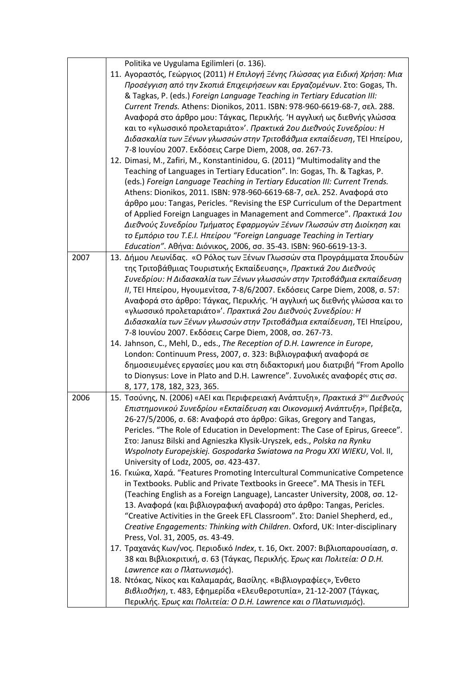|      | Politika ve Uygulama Egilimleri (σ. 136).                                                 |
|------|-------------------------------------------------------------------------------------------|
|      | 11. Αγοραστός, Γεώργιος (2011) Η Επιλογή Ξένης Γλώσσας για Ειδική Χρήση: Μια              |
|      | Προσέγγιση από την Σκοπιά Επιχειρήσεων και Εργαζομένων. Στο: Gogas, Th.                   |
|      | & Tagkas, P. (eds.) Foreign Language Teaching in Tertiary Education III:                  |
|      | Current Trends. Athens: Dionikos, 2011. ISBN: 978-960-6619-68-7, σελ. 288.                |
|      | Αναφορά στο άρθρο μου: Τάγκας, Περικλής. Ή αγγλική ως διεθνής γλώσσα                      |
|      | και το «γλωσσικό προλεταριάτο»'. Πρακτικά 2ου Διεθνούς Συνεδρίου: Η                       |
|      | Διδασκαλία των Ξένων γλωσσών στην Τριτοβάθμια εκπαίδευση, ΤΕΙ Ηπείρου,                    |
|      | 7-8 Ιουνίου 2007. Εκδόσεις Carpe Diem, 2008, σσ. 267-73.                                  |
|      | 12. Dimasi, M., Zafiri, M., Konstantinidou, G. (2011) "Multimodality and the              |
|      | Teaching of Languages in Tertiary Education". In: Gogas, Th. & Tagkas, P.                 |
|      | (eds.) Foreign Language Teaching in Tertiary Education III: Current Trends.               |
|      | Athens: Dionikos, 2011. ISBN: 978-960-6619-68-7, σελ. 252. Αναφορά στο                    |
|      | άρθρο μου: Tangas, Pericles. "Revising the ESP Curriculum of the Department               |
|      | of Applied Foreign Languages in Management and Commerce". Πρακτικά 1ου                    |
|      | Διεθνούς Συνεδρίου Τμήματος Εφαρμογών Ξένων Γλωσσών στη Διοίκηση και                      |
|      | το Εμπόριο του Τ.Ε.Ι. Ηπείρου "Foreign Language Teaching in Tertiary                      |
|      | Education". Αθήνα: Διόνικος, 2006, σσ. 35-43. ISBN: 960-6619-13-3.                        |
| 2007 | 13. Δήμου Λεωνίδας. «Ο Ρόλος των Ξένων Γλωσσών στα Προγράμματα Σπουδών                    |
|      | της Τριτοβάθμιας Τουριστικής Εκπαίδευσης», Πρακτικά 2ου Διεθνούς                          |
|      |                                                                                           |
|      | Συνεδρίου: Η Διδασκαλία των Ξένων γλωσσών στην Τριτοβάθμια εκπαίδευση                     |
|      | ΙΙ, ΤΕΙ Ηπείρου, Ηγουμενίτσα, 7-8/6/2007. Εκδόσεις Carpe Diem, 2008, σ. 57:               |
|      | Αναφορά στο άρθρο: Τάγκας, Περικλής. Ή αγγλική ως διεθνής γλώσσα και το                   |
|      | «γλωσσικό προλεταριάτο»'. Πρακτικά 2ου Διεθνούς Συνεδρίου: Η                              |
|      | Διδασκαλία των Ξένων γλωσσών στην Τριτοβάθμια εκπαίδευση, ΤΕΙ Ηπείρου,                    |
|      | 7-8 Ιουνίου 2007. Εκδόσεις Carpe Diem, 2008, σσ. 267-73.                                  |
|      | 14. Jahnson, C., Mehl, D., eds., The Reception of D.H. Lawrence in Europe,                |
|      | London: Continuum Press, 2007, σ. 323: Βιβλιογραφική αναφορά σε                           |
|      | δημοσιευμένες εργασίες μου και στη διδακτορική μου διατριβή "From Apollo                  |
|      | to Dionysus: Love in Plato and D.H. Lawrence". Συνολικές αναφορές στις σσ.                |
|      | 8, 177, 178, 182, 323, 365.                                                               |
| 2006 | 15. Τσούνης, Ν. (2006) «ΑΕΙ και Περιφερειακή Ανάπτυξη», Πρακτικά 3 <sup>ου</sup> Διεθνούς |
|      | Επιστημονικού Συνεδρίου «Εκπαίδευση και Οικονομική Ανάπτυξη», Πρέβεζα,                    |
|      | 26-27/5/2006, σ. 68: Αναφορά στο άρθρο: Gikas, Gregory and Tangas,                        |
|      | Pericles. "The Role of Education in Development: The Case of Epirus, Greece".             |
|      | Στο: Janusz Bilski and Agnieszka Klysik-Uryszek, eds., Polska na Rynku                    |
|      | Wspolnoty Europejskiej. Gospodarka Swiatowa na Progu XXI WIEKU, Vol. II,                  |
|      | University of Lodz, 2005, σσ. 423-437.                                                    |
|      | 16. Γκιώκα, Χαρά. "Features Promoting Intercultural Communicative Competence              |
|      | in Textbooks. Public and Private Textbooks in Greece". MA Thesis in TEFL                  |
|      | (Teaching English as a Foreign Language), Lancaster University, 2008, σσ. 12-             |
|      | 13. Αναφορά (και βιβλιογραφική αναφορά) στο άρθρο: Tangas, Pericles.                      |
|      | "Creative Activities in the Greek EFL Classroom". Στο: Daniel Shepherd, ed.,              |
|      | Creative Engagements: Thinking with Children. Oxford, UK: Inter-disciplinary              |
|      | Press, Vol. 31, 2005, os. 43-49.                                                          |
|      | 17. Τραχανάς Κων/νος. Περιοδικό Index, τ. 16, Οκτ. 2007: Βιβλιοπαρουσίαση, σ.             |
|      | 38 και Βιβλιοκριτική, σ. 63 (Τάγκας, Περικλής. Έρως και Πολιτεία: Ο D.Η.                  |
|      | Lawrence και ο Πλατωνισμός).                                                              |
|      | 18. Ντόκας, Νίκος και Καλαμαράς, Βασίλης. «Βιβλιογραφίες», Ένθετο                         |
|      | Βιβλιοθήκη, τ. 483, Εφημερίδα «Ελευθεροτυπία», 21-12-2007 (Τάγκας,                        |
|      | Περικλής. Έρως και Πολιτεία: Ο D.H. Lawrence και ο Πλατωνισμός).                          |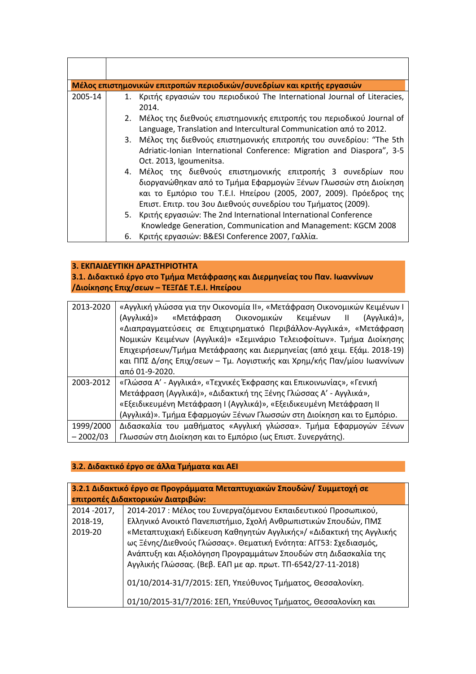|         |    | Μέλος επιστημονικών επιτροπών περιοδικών/συνεδρίων και κριτής εργασιών                                                                                                                                                                                                  |
|---------|----|-------------------------------------------------------------------------------------------------------------------------------------------------------------------------------------------------------------------------------------------------------------------------|
| 2005-14 |    | 1. Κριτής εργασιών του περιοδικού The International Journal of Literacies,<br>2014.                                                                                                                                                                                     |
|         |    | 2. Μέλος της διεθνούς επιστημονικής επιτροπής του περιοδικού Journal of<br>Language, Translation and Intercultural Communication από το 2012.                                                                                                                           |
|         |    | 3. Μέλος της διεθνούς επιστημονικής επιτροπής του συνεδρίου: "The 5th<br>Adriatic-Ionian International Conference: Migration and Diaspora", 3-5<br>Oct. 2013, Igoumenitsa.                                                                                              |
|         |    | 4. Μέλος της διεθνούς επιστημονικής επιτροπής 3 συνεδρίων που<br>διοργανώθηκαν από το Τμήμα Εφαρμογών Ξένων Γλωσσών στη Διοίκηση<br>και το Εμπόριο του Τ.Ε.Ι. Ηπείρου (2005, 2007, 2009). Πρόεδρος της<br>Επιστ. Επιτρ. του 3ου Διεθνούς συνεδρίου του Τμήματος (2009). |
|         |    | 5. Κριτής εργασιών: The 2nd International International Conference<br>Knowledge Generation, Communication and Management: KGCM 2008                                                                                                                                     |
|         | 6. | Κριτής εργασιών: B&ESI Conference 2007, Γαλλία.                                                                                                                                                                                                                         |

### **3. ΕΚΠΑΙΔΕΥΤΙΚΗ ΔΡΑΣΤΗΡΙΟΤΗΤΑ**

**3.1. Διδακτικό έργο στο Τμήμα Μετάφρασης και Διερμηνείας του Παν. Ιωαννίνων /Διοίκησης Επιχ/σεων – ΤΕΞΓΔΕ Τ.Ε.Ι. Ηπείρου**

| 2013-2020  | «Αγγλική γλώσσα για την Οικονομία ΙΙ», «Μετάφραση Οικονομικών Κειμένων Ι |
|------------|--------------------------------------------------------------------------|
|            | «Μετάφραση Οικονομικών<br>Κειμένων ΙΙ<br>(Αγγλικά)»<br>(Αγγλικά)»,       |
|            | «Διαπραγματεύσεις σε Επιχειρηματικό Περιβάλλον-Αγγλικά», «Μετάφραση      |
|            | Νομικών Κειμένων (Αγγλικά)» «Σεμινάριο Τελειοφοίτων». Τμήμα Διοίκησης    |
|            | Επιχειρήσεων/Τμήμα Μετάφρασης και Διερμηνείας (από χειμ. Εξάμ. 2018-19)  |
|            | και ΠΠΣ Δ/σης Επιχ/σεων – Τμ. Λογιστικής και Χρημ/κής Παν/μίου Ιωαννίνων |
|            | από 01-9-2020.                                                           |
| 2003-2012  | «Γλώσσα Α' - Αγγλικά», «Τεχνικές Έκφρασης και Επικοινωνίας», «Γενική     |
|            | Μετάφραση (Αγγλικά)», «Διδακτική της Ξένης Γλώσσας Α' - Αγγλικά»,        |
|            | «Εξειδικευμένη Μετάφραση Ι (Αγγλικά)», «Εξειδικευμένη Μετάφραση ΙΙ       |
|            | (Αγγλικά)». Τμήμα Εφαρμογών Ξένων Γλωσσών στη Διοίκηση και το Εμπόριο.   |
| 1999/2000  | Διδασκαλία του μαθήματος «Αγγλική γλώσσα». Τμήμα Εφαρμογών Ξένων         |
| $-2002/03$ | Γλωσσών στη Διοίκηση και το Εμπόριο (ως Επιστ. Συνεργάτης).              |

### **3.2. Διδακτικό έργο σε άλλα Τμήματα και ΑΕΙ**

| 3.2.1 Διδακτικό έργο σε Προγράμματα Μεταπτυχιακών Σπουδών/ Συμμετοχή σε<br>επιτροπές Διδακτορικών Διατριβών: |                                                                                                                                                                                                                                                                                                                                                                                                                                                                                                                                                   |  |
|--------------------------------------------------------------------------------------------------------------|---------------------------------------------------------------------------------------------------------------------------------------------------------------------------------------------------------------------------------------------------------------------------------------------------------------------------------------------------------------------------------------------------------------------------------------------------------------------------------------------------------------------------------------------------|--|
| 2014 - 2017,<br>2018-19,<br>2019-20                                                                          | 2014-2017 : Μέλος του Συνεργαζόμενου Εκπαιδευτικού Προσωπικού,<br>Ελληνικό Ανοικτό Πανεπιστήμιο, Σχολή Ανθρωπιστικών Σπουδών, ΠΜΣ<br>«Μεταπτυχιακή Ειδίκευση Καθηγητών Αγγλικής»/ «Διδακτική της Αγγλικής<br>ως Ξένης/Διεθνούς Γλώσσας». Θεματική Ενότητα: ΑΓΓ53: Σχεδιασμός,<br>Ανάπτυξη και Αξιολόγηση Προγραμμάτων Σπουδών στη Διδασκαλία της<br>Αγγλικής Γλώσσας. (Βεβ. ΕΑΠ με αρ. πρωτ. ΤΠ-6542/27-11-2018)<br>01/10/2014-31/7/2015: ΣΕΠ, Υπεύθυνος Τμήματος, Θεσσαλονίκη.<br>01/10/2015-31/7/2016: ΣΕΠ, Υπεύθυνος Τμήματος, Θεσσαλονίκη και |  |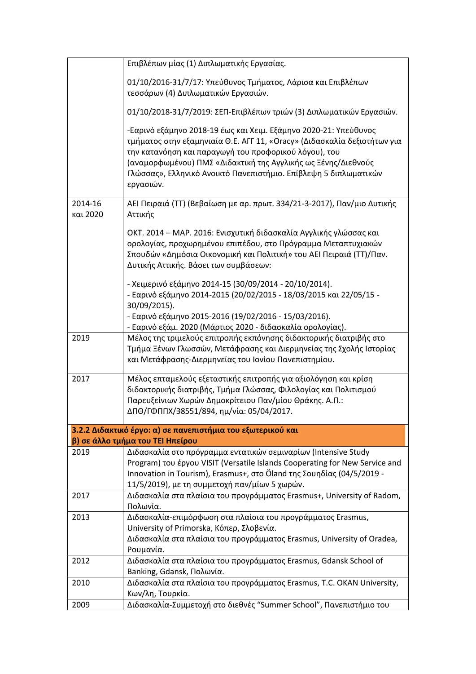|                     | Επιβλέπων μίας (1) Διπλωματικής Εργασίας.                                                                                                                                                                                                                                                                                                               |
|---------------------|---------------------------------------------------------------------------------------------------------------------------------------------------------------------------------------------------------------------------------------------------------------------------------------------------------------------------------------------------------|
|                     | 01/10/2016-31/7/17: Υπεύθυνος Τμήματος, Λάρισα και Επιβλέπων<br>τεσσάρων (4) Διπλωματικών Εργασιών.                                                                                                                                                                                                                                                     |
|                     | 01/10/2018-31/7/2019: ΣΕΠ-Επιβλέπων τριών (3) Διπλωματικών Εργασιών.                                                                                                                                                                                                                                                                                    |
|                     | -Εαρινό εξάμηνο 2018-19 έως και Χειμ. Εξάμηνο 2020-21: Υπεύθυνος<br>τμήματος στην εξαμηνιαία Θ.Ε. ΑΓΓ 11, «Oracy» (Διδασκαλία δεξιοτήτων για<br>την κατανόηση και παραγωγή του προφορικού λόγου), του<br>(αναμορφωμένου) ΠΜΣ «Διδακτική της Αγγλικής ως Ξένης/Διεθνούς<br>Γλώσσας», Ελληνικό Ανοικτό Πανεπιστήμιο. Επίβλεψη 5 διπλωματικών<br>εργασιών. |
| 2014-16<br>και 2020 | ΑΕΙ Πειραιά (ΤΤ) (Βεβαίωση με αρ. πρωτ. 334/21-3-2017), Παν/μιο Δυτικής<br>Αττικής                                                                                                                                                                                                                                                                      |
|                     | ΟΚΤ. 2014 – ΜΑΡ. 2016: Ενισχυτική διδασκαλία Αγγλικής γλώσσας και<br>ορολογίας, προχωρημένου επιπέδου, στο Πρόγραμμα Μεταπτυχιακών<br>Σπουδών «Δημόσια Οικονομική και Πολιτική» του ΑΕΙ Πειραιά (ΤΤ)/Παν.<br>Δυτικής Αττικής. Βάσει των συμβάσεων:                                                                                                      |
|                     | - Χειμερινό εξάμηνο 2014-15 (30/09/2014 - 20/10/2014).<br>- Εαρινό εξάμηνο 2014-2015 (20/02/2015 - 18/03/2015 και 22/05/15 -<br>30/09/2015).<br>- Εαρινό εξάμηνο 2015-2016 (19/02/2016 - 15/03/2016).                                                                                                                                                   |
|                     | - Εαρινό εξάμ. 2020 (Μάρτιος 2020 - διδασκαλία ορολογίας).                                                                                                                                                                                                                                                                                              |
| 2019                | Μέλος της τριμελούς επιτροπής εκπόνησης διδακτορικής διατριβής στο<br>Τμήμα Ξένων Γλωσσών, Μετάφρασης και Διερμηνείας της Σχολής Ιστορίας<br>και Μετάφρασης-Διερμηνείας του Ιονίου Πανεπιστημίου.                                                                                                                                                       |
| 2017                | Μέλος επταμελούς εξεταστικής επιτροπής για αξιολόγηση και κρίση<br>διδακτορικής διατριβής, Τμήμα Γλώσσας, Φιλολογίας και Πολιτισμού<br>Παρευξείνιων Χωρών Δημοκρίτειου Παν/μίου Θράκης. Α.Π.:<br>ΔΠΘ/ΓΦΠΠΧ/38551/894, ημ/νία: 05/04/2017.                                                                                                               |
|                     | 3.2.2 Διδακτικό έργο: α) σε πανεπιστήμια του εξωτερικού και                                                                                                                                                                                                                                                                                             |
|                     | β) σε άλλο τμήμα του ΤΕΙ Ηπείρου                                                                                                                                                                                                                                                                                                                        |
| 2019                | Διδασκαλία στο πρόγραμμα εντατικών σεμιναρίων (Intensive Study<br>Program) του έργου VISIT (Versatile Islands Cooperating for New Service and<br>Innovation in Tourism), Erasmus+, στο Öland της Σουηδίας (04/5/2019 -<br>11/5/2019), με τη συμμετοχή παν/μίων 5 χωρών.                                                                                 |
| 2017                | Διδασκαλία στα πλαίσια του προγράμματος Erasmus+, University of Radom,<br>Πολωνία.                                                                                                                                                                                                                                                                      |
| 2013                | Διδασκαλία-επιμόρφωση στα πλαίσια του προγράμματος Erasmus,<br>University of Primorska, Κόπερ, Σλοβενία.<br>Διδασκαλία στα πλαίσια του προγράμματος Erasmus, University of Oradea,<br>Ρουμανία.                                                                                                                                                         |
| 2012                | Διδασκαλία στα πλαίσια του προγράμματος Erasmus, Gdansk School of<br>Banking, Gdansk, Πολωνία.                                                                                                                                                                                                                                                          |
| 2010                | Διδασκαλία στα πλαίσια του προγράμματος Erasmus, T.C. OKAN University,<br>Κων/λη, Τουρκία.                                                                                                                                                                                                                                                              |
| 2009                | Διδασκαλία-Συμμετοχή στο διεθνές "Summer School", Πανεπιστήμιο του                                                                                                                                                                                                                                                                                      |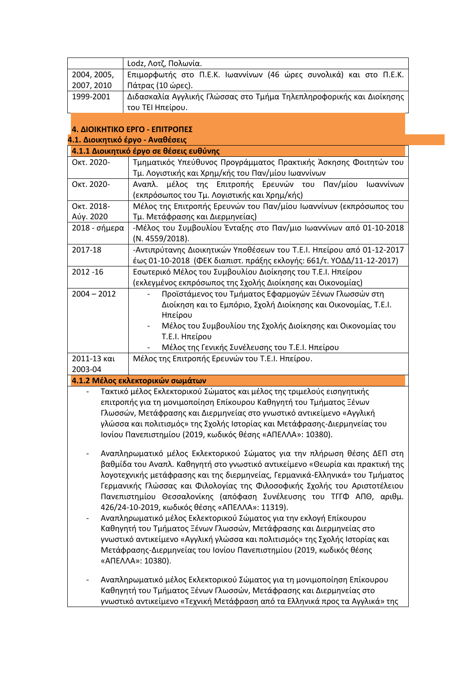|             | Lodz, Λοτζ, Πολωνία.                                                 |
|-------------|----------------------------------------------------------------------|
| 2004, 2005, | Επιμορφωτής στο Π.Ε.Κ. Ιωαννίνων (46 ώρες συνολικά) και στο Π.Ε.Κ.   |
| 2007, 2010  | Πάτρας (10 ώρες).                                                    |
| 1999-2001   | Διδασκαλία Αγγλικής Γλώσσας στο Τμήμα Τηλεπληροφορικής και Διοίκησης |
|             | του ΤΕΙ Ηπείρου.                                                     |

### **4. ΔΙΟΙΚΗΤΙΚΟ ΕΡΓΟ - ΕΠΙΤΡΟΠΕΣ**

 $\overline{\phantom{a}}$ 

| 4.1. Διοικητικό έργο - Αναθέσεις                                          |                                                                                          |  |
|---------------------------------------------------------------------------|------------------------------------------------------------------------------------------|--|
|                                                                           | 4.1.1 Διοικητικό έργο σε θέσεις ευθύνης                                                  |  |
| Окт. 2020-                                                                | Τμηματικός Υπεύθυνος Προγράμματος Πρακτικής Άσκησης Φοιτητών του                         |  |
|                                                                           | Τμ. Λογιστικής και Χρημ/κής του Παν/μίου Ιωαννίνων                                       |  |
| Окт. 2020-                                                                | Αναπλ. μέλος της Επιτροπής Ερευνών του<br>Παν/μίου<br>Ιωαννίνων                          |  |
|                                                                           | (εκπρόσωπος του Τμ. Λογιστικής και Χρημ/κής)                                             |  |
| Окт. 2018-                                                                | Μέλος της Επιτροπής Ερευνών του Παν/μίου Ιωαννίνων (εκπρόσωπος του                       |  |
| Αύγ. 2020                                                                 | Τμ. Μετάφρασης και Διερμηνείας)                                                          |  |
| 2018 - σήμερα                                                             | -Μέλος του Συμβουλίου Ένταξης στο Παν/μιο Ιωαννίνων από 01-10-2018                       |  |
|                                                                           | (N. 4559/2018).                                                                          |  |
| 2017-18                                                                   | -Αντιπρύτανης Διοικητικών Υποθέσεων του Τ.Ε.Ι. Ηπείρου από 01-12-2017                    |  |
|                                                                           | έως 01-10-2018 (ΦΕΚ διαπιστ. πράξης εκλογής: 661/τ. ΥΟΔΔ/11-12-2017)                     |  |
| 2012 - 16                                                                 | Εσωτερικό Μέλος του Συμβουλίου Διοίκησης του Τ.Ε.Ι. Ηπείρου                              |  |
|                                                                           | (εκλεγμένος εκπρόσωπος της Σχολής Διοίκησης και Οικονομίας)                              |  |
| $2004 - 2012$                                                             | Προϊστάμενος του Τμήματος Εφαρμογών Ξένων Γλωσσών στη                                    |  |
|                                                                           | Διοίκηση και το Εμπόριο, Σχολή Διοίκησης και Οικονομίας, Τ.Ε.Ι.                          |  |
|                                                                           | Ηπείρου                                                                                  |  |
|                                                                           | Μέλος του Συμβουλίου της Σχολής Διοίκησης και Οικονομίας του<br>$\overline{\phantom{a}}$ |  |
|                                                                           | Τ.Ε.Ι. Ηπείρου                                                                           |  |
|                                                                           | Μέλος της Γενικής Συνέλευσης του Τ.Ε.Ι. Ηπείρου                                          |  |
| 2011-13 και                                                               | Μέλος της Επιτροπής Ερευνών του Τ.Ε.Ι. Ηπείρου.                                          |  |
| 2003-04                                                                   |                                                                                          |  |
|                                                                           | 4.1.2 Μέλος εκλεκτορικών σωμάτων                                                         |  |
|                                                                           | Τακτικό μέλος Εκλεκτορικού Σώματος και μέλος της τριμελούς εισηγητικής                   |  |
| επιτροπής για τη μονιμοποίηση Επίκουρου Καθηγητή του Τμήματος Ξένων       |                                                                                          |  |
| Γλωσσών, Μετάφρασης και Διερμηνείας στο γνωστικό αντικείμενο «Αγγλική     |                                                                                          |  |
| γλώσσα και πολιτισμός» της Σχολής Ιστορίας και Μετάφρασης-Διερμηνείας του |                                                                                          |  |
|                                                                           | Ιονίου Πανεπιστημίου (2019, κωδικός θέσης «ΑΠΕΛΛΑ»: 10380).                              |  |
|                                                                           |                                                                                          |  |
|                                                                           | Αναπληρωματικό μέλος Εκλεκτορικού Σώματος για την πλήρωση θέσης ΔΕΠ στη                  |  |
|                                                                           | βαθμίδα του Αναπλ. Καθηγητή στο γνωστικό αντικείμενο «Θεωρία και πρακτική της            |  |
|                                                                           | λογοτεχνικής μετάφρασης και της διερμηνείας, Γερμανικά-Ελληνικά» του Τμήματος            |  |
|                                                                           | Γερμανικής Γλώσσας και Φιλολογίας της Φιλοσοφικής Σχολής του Αριστοτέλειου               |  |
|                                                                           | Πανεπιστημίου Θεσσαλονίκης (απόφαση Συνέλευσης του ΤΓΓΦ ΑΠΘ, αριθμ.                      |  |
|                                                                           | 426/24-10-2019, κωδικός θέσης «ΑΠΕΛΛΑ»: 11319).                                          |  |
| $\overline{\phantom{0}}$                                                  | Αναπληρωματικό μέλος Εκλεκτορικού Σώματος για την εκλογή Επίκουρου                       |  |
|                                                                           | Καθηγητή του Τμήματος Ξένων Γλωσσών, Μετάφρασης και Διερμηνείας στο                      |  |
|                                                                           | γνωστικό αντικείμενο «Αγγλική γλώσσα και πολιτισμός» της Σχολής Ιστορίας και             |  |
|                                                                           | Μετάφρασης-Διερμηνείας του Ιονίου Πανεπιστημίου (2019, κωδικός θέσης                     |  |
|                                                                           | «ΑΠΕΛΛΑ»: 10380).                                                                        |  |
|                                                                           |                                                                                          |  |
|                                                                           | Αναπληρωματικό μέλος Εκλεκτορικού Σώματος για τη μονιμοποίηση Επίκουρου                  |  |
|                                                                           | Καθηγητή του Τμήματος Ξένων Γλωσσών, Μετάφρασης και Διερμηνείας στο                      |  |
|                                                                           | γνωστικό αντικείμενο «Τεχνική Μετάφραση από τα Ελληνικά προς τα Αγγλικά» της             |  |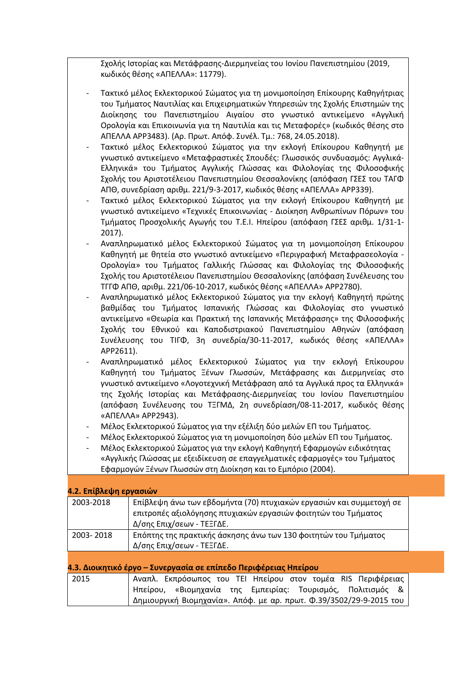Σχολής Ιστορίας και Μετάφρασης-Διερμηνείας του Ιονίου Πανεπιστημίου (2019, κωδικός θέσης «ΑΠΕΛΛΑ»: 11779).

- Τακτικό μέλος Εκλεκτορικού Σώματος για τη μονιμοποίηση Επίκουρης Καθηγήτριας του Τμήματος Ναυτιλίας και Επιχειρηματικών Υπηρεσιών της Σχολής Επιστημών της Διοίκησης του Πανεπιστημίου Αιγαίου στο γνωστικό αντικείμενο «Αγγλική Ορολογία και Επικοινωνία για τη Ναυτιλία και τις Μεταφορές» (κωδικός θέσης στο ΑΠΕΛΛΑ APP3483). (Αρ. Πρωτ. Απόφ. Συνέλ. Τμ.: 768, 24.05.2018).
- Τακτικό μέλος Εκλεκτορικού Σώματος για την εκλογή Επίκουρου Καθηγητή με γνωστικό αντικείμενο «Μεταφραστικές Σπουδές: Γλωσσικός συνδυασμός: Αγγλικά-Ελληνικά» του Τμήματος Αγγλικής Γλώσσας και Φιλολογίας της Φιλοσοφικής Σχολής του Αριστοτέλειου Πανεπιστημίου Θεσσαλονίκης (απόφαση ΓΣΕΣ του ΤΑΓΦ ΑΠΘ, συνεδρίαση αριθμ. 221/9-3-2017, κωδικός θέσης «ΑΠΕΛΛΑ» APP339).
- Τακτικό μέλος Εκλεκτορικού Σώματος για την εκλογή Επίκουρου Καθηγητή με γνωστικό αντικείμενο «Τεχνικές Επικοινωνίας - Διοίκηση Ανθρωπίνων Πόρων» του Τμήματος Προσχολικής Αγωγής του Τ.Ε.Ι. Ηπείρου (απόφαση ΓΣΕΣ αριθμ. 1/31-1- 2017).
- Αναπληρωματικό μέλος Εκλεκτορικού Σώματος για τη μονιμοποίηση Επίκουρου Καθηγητή με θητεία στο γνωστικό αντικείμενο «Περιγραφική Μεταφρασεολογία - Ορολογία» του Τμήματος Γαλλικής Γλώσσας και Φιλολογίας της Φιλοσοφικής Σχολής του Αριστοτέλειου Πανεπιστημίου Θεσσαλονίκης (απόφαση Συνέλευσης του ΤΓΓΦ ΑΠΘ, αριθμ. 221/06-10-2017, κωδικός θέσης «ΑΠΕΛΛΑ» APP2780).
- Αναπληρωματικό μέλος Εκλεκτορικού Σώματος για την εκλογή Καθηγητή πρώτης βαθμίδας του Τμήματος Ισπανικής Γλώσσας και Φιλολογίας στο γνωστικό αντικείμενο «Θεωρία και Πρακτική της Ισπανικής Μετάφρασης» της Φιλοσοφικής Σχολής του Εθνικού και Καποδιστριακού Πανεπιστημίου Αθηνών (απόφαση Συνέλευσης του ΤΙΓΦ, 3η συνεδρία/30-11-2017, κωδικός θέσης «ΑΠΕΛΛΑ» APP2611).
- Αναπληρωματικό μέλος Εκλεκτορικού Σώματος για την εκλογή Επίκουρου Καθηγητή του Τμήματος Ξένων Γλωσσών, Μετάφρασης και Διερμηνείας στο γνωστικό αντικείμενο «Λογοτεχνική Μετάφραση από τα Αγγλικά προς τα Ελληνικά» της Σχολής Ιστορίας και Μετάφρασης-Διερμηνείας του Ιονίου Πανεπιστημίου (απόφαση Συνέλευσης του ΤΞΓΜΔ, 2η συνεδρίαση/08-11-2017, κωδικός θέσης «ΑΠΕΛΛΑ» APP2943).
- Μέλος Εκλεκτορικού Σώματος για την εξέλιξη δύο μελών ΕΠ του Τμήματος.
- Μέλος Εκλεκτορικού Σώματος για τη μονιμοποίηση δύο μελών ΕΠ του Τμήματος.
- Μέλος Εκλεκτορικού Σώματος για την εκλογή Καθηγητή Εφαρμογών ειδικότητας «Αγγλικής Γλώσσας με εξειδίκευση σε επαγγελματικές εφαρμογές» του Τμήματος Εφαρμογών Ξένων Γλωσσών στη Διοίκηση και το Εμπόριο (2004).

| 4.2. Επίβλεψη εργασιών |                                                                                                                                                                    |  |
|------------------------|--------------------------------------------------------------------------------------------------------------------------------------------------------------------|--|
| 2003-2018              | Επίβλεψη άνω των εβδομήντα (70) πτυχιακών εργασιών και συμμετοχή σε<br>επιτροπές αξιολόγησης πτυχιακών εργασιών φοιτητών του Τμήματος<br>Δ/σης Επιχ/σεων - ΤΕΞΓΔΕ. |  |
| 2003-2018              | Επόπτης της πρακτικής άσκησης άνω των 130 φοιτητών του Τμήματος<br>Δ/σης Επιχ/σεων - ΤΕΞΓΔΕ.                                                                       |  |
|                        | 4.3. Διοικητικό έργο – Συνεργασία σε επίπεδο Περιφέρειας Ηπείρου                                                                                                   |  |
| 2015                   | Αναπλ. Εκπρόσωπος του ΤΕΙ Ηπείρου στον τομέα RIS Περιφέρειας<br>Ηπείρου, «Βιομηχανία της Εμπειρίας: Τουρισμός, Πολιτισμός &                                        |  |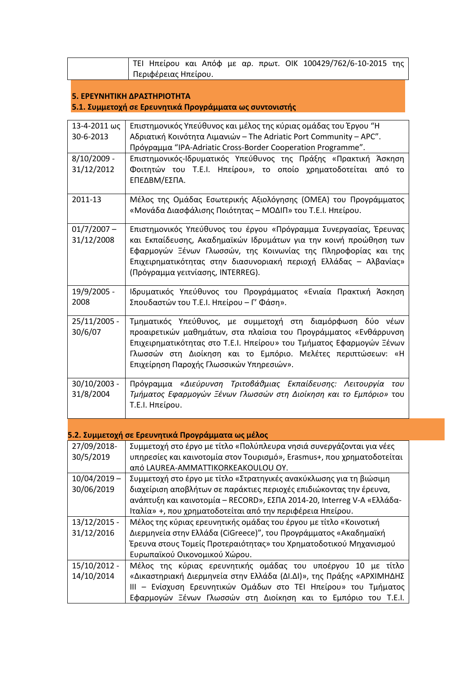ΤΕΙ Ηπείρου και Απόφ με αρ. πρωτ. ΟΙΚ 100429/762/6-10-2015 της Περιφέρειας Ηπείρου.

#### **5. ΕΡΕΥΝΗΤΙΚΗ ΔΡΑΣΤΗΡΙΟΤΗΤΑ 5.1. Συμμετοχή σε Ερευνητικά Προγράμματα ως συντονιστής**

| 13-4-2011 ως<br>30-6-2013    | Επιστημονικός Υπεύθυνος και μέλος της κύριας ομάδας του Έργου "Η<br>Αδριατική Κοινότητα Λιμανιών - The Adriatic Port Community - APC".                                                                                                                                                                             |
|------------------------------|--------------------------------------------------------------------------------------------------------------------------------------------------------------------------------------------------------------------------------------------------------------------------------------------------------------------|
| $8/10/2009 -$<br>31/12/2012  | Πρόγραμμα "IPA-Adriatic Cross-Border Cooperation Programme".<br>Επιστημονικός-Ιδρυματικός Υπεύθυνος της Πράξης «Πρακτική Άσκηση<br>Φοιτητών του Τ.Ε.Ι. Ηπείρου», το οποίο χρηματοδοτείται από το<br>ΕΠΕΔΒΜ/ΕΣΠΑ.                                                                                                   |
| 2011-13                      | Μέλος της Ομάδας Εσωτερικής Αξιολόγησης (ΟΜΕΑ) του Προγράμματος<br>«Μονάδα Διασφάλισης Ποιότητας – ΜΟΔΙΠ» του Τ.Ε.Ι. Ηπείρου.                                                                                                                                                                                      |
| $01/7/2007 -$<br>31/12/2008  | Επιστημονικός Υπεύθυνος του έργου «Πρόγραμμα Συνεργασίας, Έρευνας<br>και Εκπαίδευσης, Ακαδημαϊκών Ιδρυμάτων για την κοινή προώθηση των<br>Εφαρμογών Ξένων Γλωσσών, της Κοινωνίας της Πληροφορίας και της<br>Επιχειρηματικότητας στην διασυνοριακή περιοχή Ελλάδας - Αλβανίας»<br>(Πρόγραμμα γειτνίασης, INTERREG). |
| 19/9/2005 -<br>2008          | Ιδρυματικός Υπεύθυνος του Προγράμματος «Ενιαία Πρακτική Άσκηση<br>Σπουδαστών του Τ.Ε.Ι. Ηπείρου - Γ' Φάση».                                                                                                                                                                                                        |
| 25/11/2005 -<br>30/6/07      | Τμηματικός Υπεύθυνος, με συμμετοχή στη διαμόρφωση δύο νέων<br>προαιρετικών μαθημάτων, στα πλαίσια του Προγράμματος «Ενθάρρυνση<br>Επιχειρηματικότητας στο T.E.I. Ηπείρου» του Τμήματος Εφαρμογών Ξένων<br>Γλωσσών στη Διοίκηση και το Εμπόριο. Μελέτες περιπτώσεων: «Η<br>Επιχείρηση Παροχής Γλωσσικών Υπηρεσιών». |
| 30/10/2003 -<br>31/8/2004    | Πρόγραμμα «Διεύρυνση Τριτοβάθμιας Εκπαίδευσης: Λειτουργία του<br>Τμήματος Εφαρμογών Ξένων Γλωσσών στη Διοίκηση και το Εμπόριο» του<br>Τ.Ε.Ι. Ηπείρου.                                                                                                                                                              |
|                              | 5.2. Συμμετοχή σε Ερευνητικά Προγράμματα ως μέλος                                                                                                                                                                                                                                                                  |
| 27/09/2018-<br>30/5/2019     | Συμμετοχή στο έργο με τίτλο «Πολύπλευρα νησιά συνεργάζονται για νέες<br>υπηρεσίες και καινοτομία στον Τουρισμό», Erasmus+, που χρηματοδοτείται<br>από LAUREA-AMMATTIKORKEAKOULOU OY.                                                                                                                               |
| $10/04/2019 -$<br>30/06/2019 | Συμμετοχή στο έργο με τίτλο «Στρατηγικές ανακύκλωσης για τη βιώσιμη<br>διαχείριση αποβλήτων σε παράκτιες περιοχές επιδιώκοντας την έρευνα,<br>ανάπτυξη και καινοτομία - RECORD», ΕΣΠΑ 2014-20, Interreg V-Α «Ελλάδα-<br>Ιταλία» +, που χρηματοδοτείται από την περιφέρεια Ηπείρου.                                 |
| 13/12/2015 -<br>31/12/2016   | Μέλος της κύριας ερευνητικής ομάδας του έργου με τίτλο «Κοινοτική<br>Διερμηνεία στην Ελλάδα (CiGreece)", του Προγράμματος «Ακαδημαϊκή<br>Έρευνα στους Τομείς Προτεραιότητας» του Χρηματοδοτικού Μηχανισμού<br>Ευρωπαϊκού Οικονομικού Χώρου.                                                                        |
| 15/10/2012 -<br>14/10/2014   | Μέλος της κύριας ερευνητικής ομάδας του υποέργου 10 με τίτλο<br>«Δικαστηριακή Διερμηνεία στην Ελλάδα (ΔΙ.ΔΙ)», της Πράξης «ΑΡΧΙΜΗΔΗΣ<br>III - Ενίσχυση Ερευνητικών Ομάδων στο ΤΕΙ Ηπείρου» του Τμήματος<br>Εφαρμογών Ξένων Γλωσσών στη Διοίκηση και το Εμπόριο του Τ.Ε.Ι.                                          |